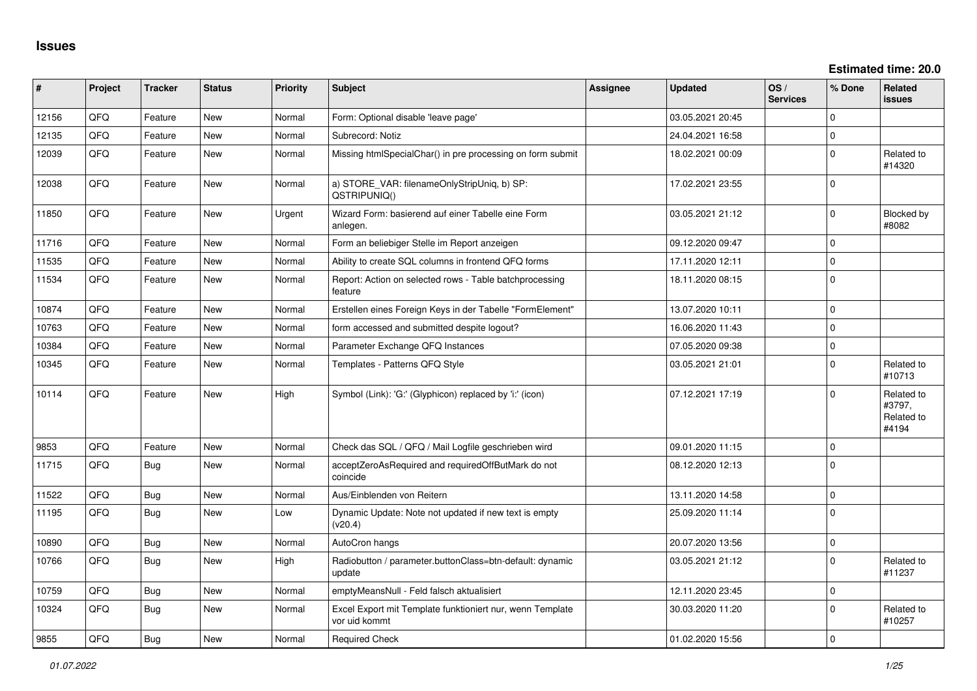**Estimated time: 20.0**

| #     | Project | <b>Tracker</b> | <b>Status</b> | Priority | Subject                                                                    | <b>Assignee</b> | <b>Updated</b>   | OS/<br><b>Services</b> | % Done      | Related<br><b>issues</b>                    |
|-------|---------|----------------|---------------|----------|----------------------------------------------------------------------------|-----------------|------------------|------------------------|-------------|---------------------------------------------|
| 12156 | QFQ     | Feature        | <b>New</b>    | Normal   | Form: Optional disable 'leave page'                                        |                 | 03.05.2021 20:45 |                        | $\Omega$    |                                             |
| 12135 | QFQ     | Feature        | <b>New</b>    | Normal   | Subrecord: Notiz                                                           |                 | 24.04.2021 16:58 |                        | $\Omega$    |                                             |
| 12039 | QFQ     | Feature        | New           | Normal   | Missing htmlSpecialChar() in pre processing on form submit                 |                 | 18.02.2021 00:09 |                        | $\Omega$    | Related to<br>#14320                        |
| 12038 | QFQ     | Feature        | New           | Normal   | a) STORE_VAR: filenameOnlyStripUniq, b) SP:<br>QSTRIPUNIQ()                |                 | 17.02.2021 23:55 |                        | $\Omega$    |                                             |
| 11850 | QFQ     | Feature        | <b>New</b>    | Urgent   | Wizard Form: basierend auf einer Tabelle eine Form<br>anlegen.             |                 | 03.05.2021 21:12 |                        | $\Omega$    | <b>Blocked by</b><br>#8082                  |
| 11716 | QFQ     | Feature        | <b>New</b>    | Normal   | Form an beliebiger Stelle im Report anzeigen                               |                 | 09.12.2020 09:47 |                        | $\Omega$    |                                             |
| 11535 | QFQ     | Feature        | <b>New</b>    | Normal   | Ability to create SQL columns in frontend QFQ forms                        |                 | 17.11.2020 12:11 |                        | $\mathbf 0$ |                                             |
| 11534 | QFQ     | Feature        | <b>New</b>    | Normal   | Report: Action on selected rows - Table batchprocessing<br>feature         |                 | 18.11.2020 08:15 |                        | $\Omega$    |                                             |
| 10874 | QFQ     | Feature        | <b>New</b>    | Normal   | Erstellen eines Foreign Keys in der Tabelle "FormElement"                  |                 | 13.07.2020 10:11 |                        | 0           |                                             |
| 10763 | QFQ     | Feature        | <b>New</b>    | Normal   | form accessed and submitted despite logout?                                |                 | 16.06.2020 11:43 |                        | $\Omega$    |                                             |
| 10384 | QFQ     | Feature        | New           | Normal   | Parameter Exchange QFQ Instances                                           |                 | 07.05.2020 09:38 |                        | $\mathbf 0$ |                                             |
| 10345 | QFQ     | Feature        | <b>New</b>    | Normal   | Templates - Patterns QFQ Style                                             |                 | 03.05.2021 21:01 |                        | $\Omega$    | Related to<br>#10713                        |
| 10114 | QFQ     | Feature        | New           | High     | Symbol (Link): 'G:' (Glyphicon) replaced by 'i:' (icon)                    |                 | 07.12.2021 17:19 |                        | $\Omega$    | Related to<br>#3797,<br>Related to<br>#4194 |
| 9853  | QFQ     | Feature        | <b>New</b>    | Normal   | Check das SQL / QFQ / Mail Logfile geschrieben wird                        |                 | 09.01.2020 11:15 |                        | 0           |                                             |
| 11715 | QFQ     | Bug            | <b>New</b>    | Normal   | acceptZeroAsRequired and requiredOffButMark do not<br>coincide             |                 | 08.12.2020 12:13 |                        | $\Omega$    |                                             |
| 11522 | QFQ     | <b>Bug</b>     | <b>New</b>    | Normal   | Aus/Einblenden von Reitern                                                 |                 | 13.11.2020 14:58 |                        | $\Omega$    |                                             |
| 11195 | QFQ     | Bug            | <b>New</b>    | Low      | Dynamic Update: Note not updated if new text is empty<br>(v20.4)           |                 | 25.09.2020 11:14 |                        | $\Omega$    |                                             |
| 10890 | QFQ     | <b>Bug</b>     | <b>New</b>    | Normal   | AutoCron hangs                                                             |                 | 20.07.2020 13:56 |                        | $\Omega$    |                                             |
| 10766 | QFQ     | Bug            | New           | High     | Radiobutton / parameter.buttonClass=btn-default: dynamic<br>update         |                 | 03.05.2021 21:12 |                        | $\Omega$    | Related to<br>#11237                        |
| 10759 | QFQ     | Bug            | <b>New</b>    | Normal   | emptyMeansNull - Feld falsch aktualisiert                                  |                 | 12.11.2020 23:45 |                        | $\Omega$    |                                             |
| 10324 | QFQ     | <b>Bug</b>     | New           | Normal   | Excel Export mit Template funktioniert nur, wenn Template<br>vor uid kommt |                 | 30.03.2020 11:20 |                        | $\Omega$    | Related to<br>#10257                        |
| 9855  | QFQ     | <b>Bug</b>     | <b>New</b>    | Normal   | <b>Required Check</b>                                                      |                 | 01.02.2020 15:56 |                        | $\Omega$    |                                             |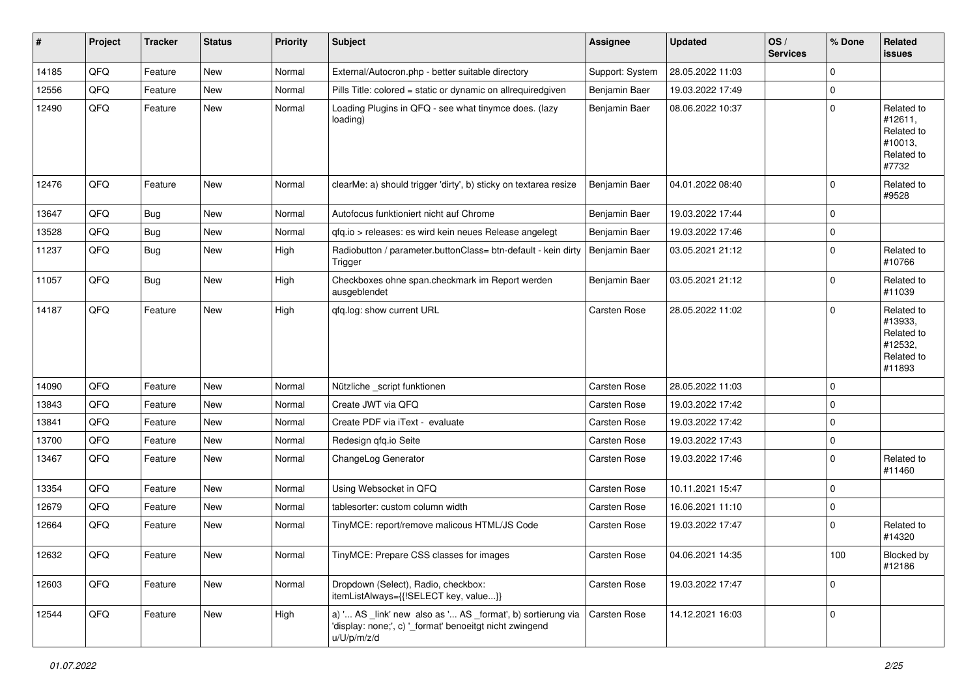| #     | Project | <b>Tracker</b> | <b>Status</b> | <b>Priority</b> | <b>Subject</b>                                                                                                                        | <b>Assignee</b>     | <b>Updated</b>   | OS/<br><b>Services</b> | % Done      | Related<br><b>issues</b>                                               |
|-------|---------|----------------|---------------|-----------------|---------------------------------------------------------------------------------------------------------------------------------------|---------------------|------------------|------------------------|-------------|------------------------------------------------------------------------|
| 14185 | QFQ     | Feature        | New           | Normal          | External/Autocron.php - better suitable directory                                                                                     | Support: System     | 28.05.2022 11:03 |                        | 0           |                                                                        |
| 12556 | QFQ     | Feature        | New           | Normal          | Pills Title: colored = static or dynamic on allrequiredgiven                                                                          | Benjamin Baer       | 19.03.2022 17:49 |                        | 0           |                                                                        |
| 12490 | QFQ     | Feature        | New           | Normal          | Loading Plugins in QFQ - see what tinymce does. (lazy<br>loading)                                                                     | Benjamin Baer       | 08.06.2022 10:37 |                        | 0           | Related to<br>#12611,<br>Related to<br>#10013,<br>Related to<br>#7732  |
| 12476 | QFQ     | Feature        | New           | Normal          | clearMe: a) should trigger 'dirty', b) sticky on textarea resize                                                                      | Benjamin Baer       | 04.01.2022 08:40 |                        | 0           | Related to<br>#9528                                                    |
| 13647 | QFQ     | Bug            | New           | Normal          | Autofocus funktioniert nicht auf Chrome                                                                                               | Benjamin Baer       | 19.03.2022 17:44 |                        | 0           |                                                                        |
| 13528 | QFQ     | <b>Bug</b>     | <b>New</b>    | Normal          | qfq.io > releases: es wird kein neues Release angelegt                                                                                | Benjamin Baer       | 19.03.2022 17:46 |                        | 0           |                                                                        |
| 11237 | QFQ     | Bug            | New           | High            | Radiobutton / parameter.buttonClass= btn-default - kein dirty<br>Trigger                                                              | Benjamin Baer       | 03.05.2021 21:12 |                        | 0           | Related to<br>#10766                                                   |
| 11057 | QFQ     | Bug            | New           | High            | Checkboxes ohne span.checkmark im Report werden<br>ausgeblendet                                                                       | Benjamin Baer       | 03.05.2021 21:12 |                        | 0           | Related to<br>#11039                                                   |
| 14187 | QFQ     | Feature        | New           | High            | qfq.log: show current URL                                                                                                             | Carsten Rose        | 28.05.2022 11:02 |                        | 0           | Related to<br>#13933,<br>Related to<br>#12532,<br>Related to<br>#11893 |
| 14090 | QFQ     | Feature        | New           | Normal          | Nützliche _script funktionen                                                                                                          | Carsten Rose        | 28.05.2022 11:03 |                        | 0           |                                                                        |
| 13843 | QFQ     | Feature        | New           | Normal          | Create JWT via QFQ                                                                                                                    | Carsten Rose        | 19.03.2022 17:42 |                        | 0           |                                                                        |
| 13841 | QFQ     | Feature        | New           | Normal          | Create PDF via iText - evaluate                                                                                                       | Carsten Rose        | 19.03.2022 17:42 |                        | 0           |                                                                        |
| 13700 | QFQ     | Feature        | New           | Normal          | Redesign qfq.io Seite                                                                                                                 | Carsten Rose        | 19.03.2022 17:43 |                        | 0           |                                                                        |
| 13467 | QFQ     | Feature        | New           | Normal          | ChangeLog Generator                                                                                                                   | Carsten Rose        | 19.03.2022 17:46 |                        | 0           | Related to<br>#11460                                                   |
| 13354 | QFQ     | Feature        | New           | Normal          | Using Websocket in QFQ                                                                                                                | Carsten Rose        | 10.11.2021 15:47 |                        | $\mathbf 0$ |                                                                        |
| 12679 | QFQ     | Feature        | New           | Normal          | tablesorter: custom column width                                                                                                      | Carsten Rose        | 16.06.2021 11:10 |                        | 0           |                                                                        |
| 12664 | QFQ     | Feature        | New           | Normal          | TinyMCE: report/remove malicous HTML/JS Code                                                                                          | Carsten Rose        | 19.03.2022 17:47 |                        | 0           | Related to<br>#14320                                                   |
| 12632 | QFG     | Feature        | New           | Normal          | TinyMCE: Prepare CSS classes for images                                                                                               | <b>Carsten Rose</b> | 04.06.2021 14:35 |                        | 100         | <b>Blocked by</b><br>#12186                                            |
| 12603 | QFQ     | Feature        | New           | Normal          | Dropdown (Select), Radio, checkbox:<br>itemListAlways={{!SELECT key, value}}                                                          | Carsten Rose        | 19.03.2022 17:47 |                        | 0           |                                                                        |
| 12544 | QFQ     | Feature        | New           | High            | a) ' AS _link' new also as ' AS _format', b) sortierung via<br>'display: none;', c) '_format' benoeitgt nicht zwingend<br>u/U/p/m/z/d | <b>Carsten Rose</b> | 14.12.2021 16:03 |                        | 0           |                                                                        |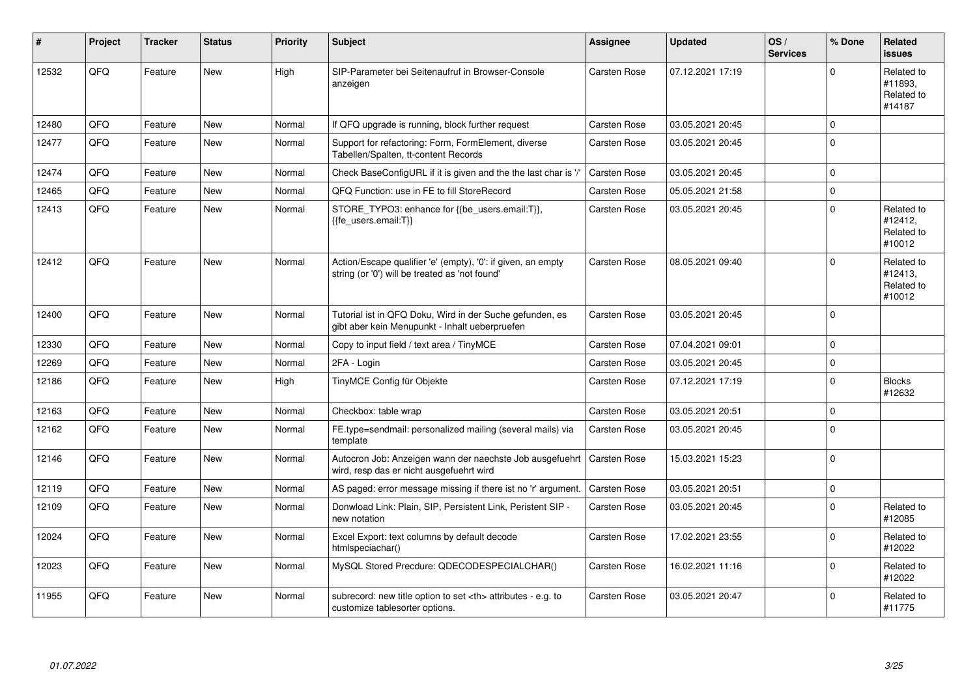| #     | Project | <b>Tracker</b> | <b>Status</b> | <b>Priority</b> | <b>Subject</b>                                                                                                 | <b>Assignee</b>                                        | <b>Updated</b>   | OS/<br><b>Services</b> | % Done   | <b>Related</b><br>issues                      |                      |
|-------|---------|----------------|---------------|-----------------|----------------------------------------------------------------------------------------------------------------|--------------------------------------------------------|------------------|------------------------|----------|-----------------------------------------------|----------------------|
| 12532 | QFQ     | Feature        | <b>New</b>    | High            | SIP-Parameter bei Seitenaufruf in Browser-Console<br>anzeigen                                                  | Carsten Rose                                           | 07.12.2021 17:19 |                        | 0        | Related to<br>#11893.<br>Related to<br>#14187 |                      |
| 12480 | QFQ     | Feature        | <b>New</b>    | Normal          | If QFQ upgrade is running, block further request                                                               | <b>Carsten Rose</b>                                    | 03.05.2021 20:45 |                        | $\Omega$ |                                               |                      |
| 12477 | QFQ     | Feature        | <b>New</b>    | Normal          | Support for refactoring: Form, FormElement, diverse<br>Tabellen/Spalten, tt-content Records                    | Carsten Rose                                           | 03.05.2021 20:45 |                        | $\Omega$ |                                               |                      |
| 12474 | QFQ     | Feature        | <b>New</b>    | Normal          | Check BaseConfigURL if it is given and the the last char is '/'                                                | Carsten Rose                                           | 03.05.2021 20:45 |                        | 0        |                                               |                      |
| 12465 | QFQ     | Feature        | New           | Normal          | QFQ Function: use in FE to fill StoreRecord                                                                    | Carsten Rose                                           | 05.05.2021 21:58 |                        | 0        |                                               |                      |
| 12413 | QFQ     | Feature        | <b>New</b>    | Normal          | STORE TYPO3: enhance for {{be users.email:T}},<br>{{fe users.email:T}}                                         | <b>Carsten Rose</b>                                    | 03.05.2021 20:45 |                        | $\Omega$ | Related to<br>#12412,<br>Related to<br>#10012 |                      |
| 12412 | QFQ     | Feature        | <b>New</b>    | Normal          | Action/Escape qualifier 'e' (empty), '0': if given, an empty<br>string (or '0') will be treated as 'not found' | Carsten Rose                                           | 08.05.2021 09:40 |                        | 0        | Related to<br>#12413,<br>Related to<br>#10012 |                      |
| 12400 | QFQ     | Feature        | <b>New</b>    | Normal          | Tutorial ist in QFQ Doku, Wird in der Suche gefunden, es<br>gibt aber kein Menupunkt - Inhalt ueberpruefen     | <b>Carsten Rose</b>                                    | 03.05.2021 20:45 |                        | 0        |                                               |                      |
| 12330 | QFQ     | Feature        | <b>New</b>    | Normal          | Copy to input field / text area / TinyMCE                                                                      | <b>Carsten Rose</b>                                    | 07.04.2021 09:01 |                        | 0        |                                               |                      |
| 12269 | QFQ     | Feature        | New           | Normal          | 2FA - Login                                                                                                    | Carsten Rose                                           | 03.05.2021 20:45 |                        | 0        |                                               |                      |
| 12186 | QFQ     | Feature        | <b>New</b>    | High            | TinyMCE Config für Objekte                                                                                     | Carsten Rose                                           | 07.12.2021 17:19 |                        | 0        | <b>Blocks</b><br>#12632                       |                      |
| 12163 | QFQ     | Feature        | <b>New</b>    | Normal          | Checkbox: table wrap                                                                                           | Carsten Rose                                           | 03.05.2021 20:51 |                        | 0        |                                               |                      |
| 12162 | QFQ     | Feature        | <b>New</b>    | Normal          | FE.type=sendmail: personalized mailing (several mails) via<br>template                                         | Carsten Rose                                           | 03.05.2021 20:45 |                        | $\Omega$ |                                               |                      |
| 12146 | QFQ     | Feature        | <b>New</b>    | Normal          | Autocron Job: Anzeigen wann der naechste Job ausgefuehrt<br>wird, resp das er nicht ausgefuehrt wird           | Carsten Rose                                           | 15.03.2021 15:23 |                        | 0        |                                               |                      |
| 12119 | QFQ     | Feature        | <b>New</b>    | Normal          | AS paged: error message missing if there ist no 'r' argument.                                                  | Carsten Rose                                           | 03.05.2021 20:51 |                        | 0        |                                               |                      |
| 12109 | QFQ     | Feature        | <b>New</b>    | Normal          | Donwload Link: Plain, SIP, Persistent Link, Peristent SIP -<br>new notation                                    | Carsten Rose                                           | 03.05.2021 20:45 |                        | 0        | Related to<br>#12085                          |                      |
| 12024 | QFQ     | Feature        | <b>New</b>    | Normal          | Excel Export: text columns by default decode<br>htmlspeciachar()                                               | Carsten Rose                                           | 17.02.2021 23:55 |                        | $\Omega$ | Related to<br>#12022                          |                      |
| 12023 | QFQ     | Feature        | <b>New</b>    | Normal          | MySQL Stored Precdure: QDECODESPECIALCHAR()                                                                    | Carsten Rose                                           | 16.02.2021 11:16 |                        | 0        | Related to<br>#12022                          |                      |
| 11955 | QFQ     | Feature        | New           | Normal          | subrecord: new title option to set <th> attributes - e.g. to<br/>customize tablesorter options.</th>           | attributes - e.g. to<br>customize tablesorter options. | Carsten Rose     | 03.05.2021 20:47       |          | 0                                             | Related to<br>#11775 |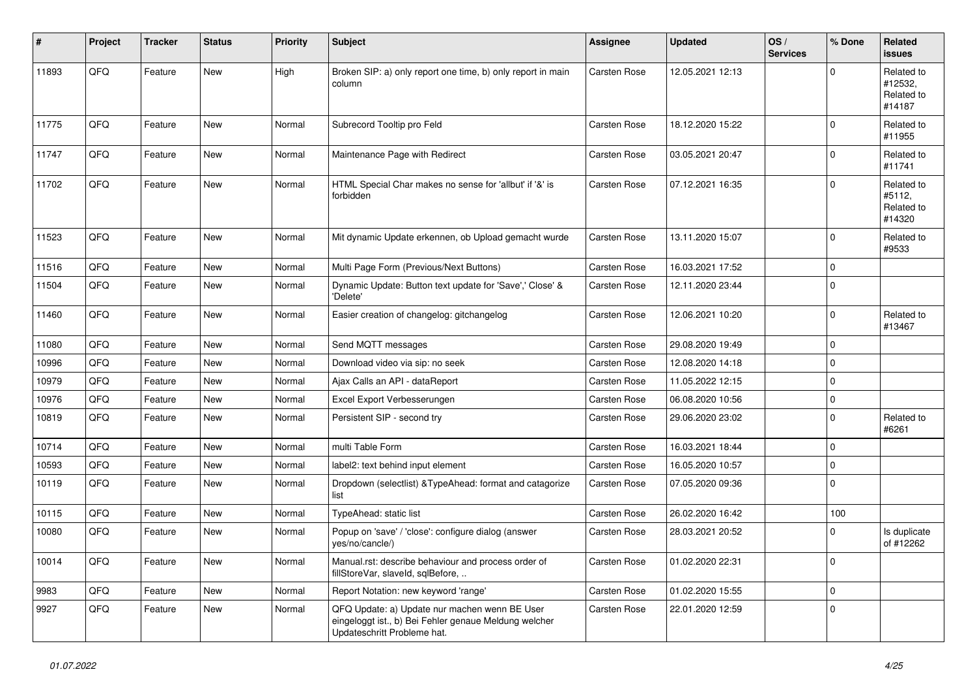| $\#$  | Project | <b>Tracker</b> | <b>Status</b> | <b>Priority</b> | <b>Subject</b>                                                                                                                        | <b>Assignee</b>     | <b>Updated</b>   | OS/<br><b>Services</b> | % Done              | Related<br><b>issues</b>                      |
|-------|---------|----------------|---------------|-----------------|---------------------------------------------------------------------------------------------------------------------------------------|---------------------|------------------|------------------------|---------------------|-----------------------------------------------|
| 11893 | QFQ     | Feature        | <b>New</b>    | High            | Broken SIP: a) only report one time, b) only report in main<br>column                                                                 | Carsten Rose        | 12.05.2021 12:13 |                        | 0                   | Related to<br>#12532,<br>Related to<br>#14187 |
| 11775 | QFQ     | Feature        | <b>New</b>    | Normal          | Subrecord Tooltip pro Feld                                                                                                            | Carsten Rose        | 18.12.2020 15:22 |                        | $\Omega$            | Related to<br>#11955                          |
| 11747 | QFQ     | Feature        | <b>New</b>    | Normal          | Maintenance Page with Redirect                                                                                                        | Carsten Rose        | 03.05.2021 20:47 |                        | $\mathbf 0$         | Related to<br>#11741                          |
| 11702 | QFQ     | Feature        | <b>New</b>    | Normal          | HTML Special Char makes no sense for 'allbut' if '&' is<br>forbidden                                                                  | Carsten Rose        | 07.12.2021 16:35 |                        | $\mathbf 0$         | Related to<br>#5112,<br>Related to<br>#14320  |
| 11523 | QFQ     | Feature        | <b>New</b>    | Normal          | Mit dynamic Update erkennen, ob Upload gemacht wurde                                                                                  | Carsten Rose        | 13.11.2020 15:07 |                        | $\mathbf 0$         | Related to<br>#9533                           |
| 11516 | QFQ     | Feature        | <b>New</b>    | Normal          | Multi Page Form (Previous/Next Buttons)                                                                                               | <b>Carsten Rose</b> | 16.03.2021 17:52 |                        | 0                   |                                               |
| 11504 | QFQ     | Feature        | New           | Normal          | Dynamic Update: Button text update for 'Save',' Close' &<br>'Delete'                                                                  | Carsten Rose        | 12.11.2020 23:44 |                        | $\mathbf 0$         |                                               |
| 11460 | QFQ     | Feature        | <b>New</b>    | Normal          | Easier creation of changelog: gitchangelog                                                                                            | Carsten Rose        | 12.06.2021 10:20 |                        | $\mathbf 0$         | Related to<br>#13467                          |
| 11080 | QFQ     | Feature        | <b>New</b>    | Normal          | Send MQTT messages                                                                                                                    | Carsten Rose        | 29.08.2020 19:49 |                        | $\mathbf 0$         |                                               |
| 10996 | QFQ     | Feature        | New           | Normal          | Download video via sip: no seek                                                                                                       | Carsten Rose        | 12.08.2020 14:18 |                        | 0                   |                                               |
| 10979 | QFQ     | Feature        | New           | Normal          | Ajax Calls an API - dataReport                                                                                                        | Carsten Rose        | 11.05.2022 12:15 |                        | $\mathbf 0$         |                                               |
| 10976 | QFQ     | Feature        | <b>New</b>    | Normal          | Excel Export Verbesserungen                                                                                                           | Carsten Rose        | 06.08.2020 10:56 |                        | 0                   |                                               |
| 10819 | QFQ     | Feature        | New           | Normal          | Persistent SIP - second try                                                                                                           | Carsten Rose        | 29.06.2020 23:02 |                        | $\mathbf 0$         | Related to<br>#6261                           |
| 10714 | QFQ     | Feature        | <b>New</b>    | Normal          | multi Table Form                                                                                                                      | <b>Carsten Rose</b> | 16.03.2021 18:44 |                        | $\mathbf 0$         |                                               |
| 10593 | QFQ     | Feature        | New           | Normal          | label2: text behind input element                                                                                                     | Carsten Rose        | 16.05.2020 10:57 |                        | 0                   |                                               |
| 10119 | QFQ     | Feature        | New           | Normal          | Dropdown (selectlist) & TypeAhead: format and catagorize<br>list                                                                      | Carsten Rose        | 07.05.2020 09:36 |                        | 0                   |                                               |
| 10115 | QFQ     | Feature        | <b>New</b>    | Normal          | TypeAhead: static list                                                                                                                | Carsten Rose        | 26.02.2020 16:42 |                        | 100                 |                                               |
| 10080 | QFQ     | Feature        | New           | Normal          | Popup on 'save' / 'close': configure dialog (answer<br>yes/no/cancle/)                                                                | Carsten Rose        | 28.03.2021 20:52 |                        | $\mathbf 0$         | Is duplicate<br>of #12262                     |
| 10014 | QFQ     | Feature        | New           | Normal          | Manual.rst: describe behaviour and process order of<br>fillStoreVar, slaveId, sqlBefore,                                              | Carsten Rose        | 01.02.2020 22:31 |                        | 0                   |                                               |
| 9983  | QFQ     | Feature        | New           | Normal          | Report Notation: new keyword 'range'                                                                                                  | Carsten Rose        | 01.02.2020 15:55 |                        | $\mathsf{O}\xspace$ |                                               |
| 9927  | QFQ     | Feature        | New           | Normal          | QFQ Update: a) Update nur machen wenn BE User<br>eingeloggt ist., b) Bei Fehler genaue Meldung welcher<br>Updateschritt Probleme hat. | Carsten Rose        | 22.01.2020 12:59 |                        | $\mathbf{0}$        |                                               |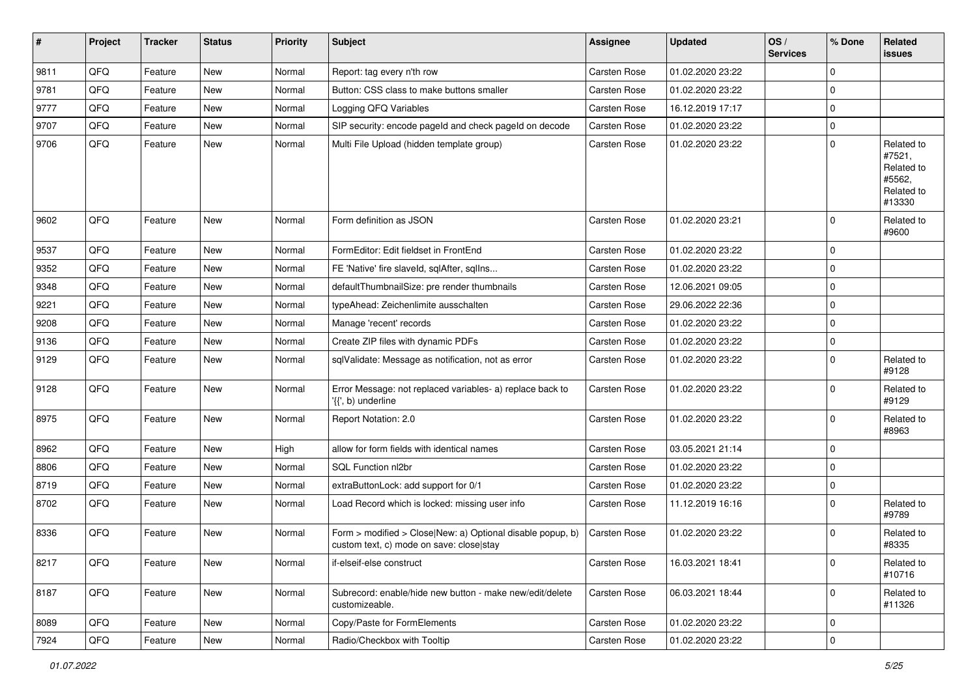| $\sharp$ | Project | <b>Tracker</b> | <b>Status</b> | <b>Priority</b> | <b>Subject</b>                                                                                         | <b>Assignee</b>     | <b>Updated</b>   | OS/<br><b>Services</b> | % Done       | Related<br>issues                                                    |
|----------|---------|----------------|---------------|-----------------|--------------------------------------------------------------------------------------------------------|---------------------|------------------|------------------------|--------------|----------------------------------------------------------------------|
| 9811     | QFQ     | Feature        | <b>New</b>    | Normal          | Report: tag every n'th row                                                                             | <b>Carsten Rose</b> | 01.02.2020 23:22 |                        | $\mathbf 0$  |                                                                      |
| 9781     | QFQ     | Feature        | New           | Normal          | Button: CSS class to make buttons smaller                                                              | Carsten Rose        | 01.02.2020 23:22 |                        | $\mathbf 0$  |                                                                      |
| 9777     | QFQ     | Feature        | New           | Normal          | Logging QFQ Variables                                                                                  | Carsten Rose        | 16.12.2019 17:17 |                        | $\mathbf 0$  |                                                                      |
| 9707     | QFQ     | Feature        | New           | Normal          | SIP security: encode pageld and check pageld on decode                                                 | <b>Carsten Rose</b> | 01.02.2020 23:22 |                        | 0            |                                                                      |
| 9706     | QFQ     | Feature        | New           | Normal          | Multi File Upload (hidden template group)                                                              | Carsten Rose        | 01.02.2020 23:22 |                        | $\mathbf 0$  | Related to<br>#7521,<br>Related to<br>#5562,<br>Related to<br>#13330 |
| 9602     | QFQ     | Feature        | <b>New</b>    | Normal          | Form definition as JSON                                                                                | Carsten Rose        | 01.02.2020 23:21 |                        | 0            | Related to<br>#9600                                                  |
| 9537     | QFQ     | Feature        | New           | Normal          | FormEditor: Edit fieldset in FrontEnd                                                                  | Carsten Rose        | 01.02.2020 23:22 |                        | $\mathbf 0$  |                                                                      |
| 9352     | QFQ     | Feature        | New           | Normal          | FE 'Native' fire slaveld, sqlAfter, sqlIns                                                             | Carsten Rose        | 01.02.2020 23:22 |                        | $\mathbf 0$  |                                                                      |
| 9348     | QFQ     | Feature        | <b>New</b>    | Normal          | defaultThumbnailSize: pre render thumbnails                                                            | Carsten Rose        | 12.06.2021 09:05 |                        | 0            |                                                                      |
| 9221     | QFQ     | Feature        | <b>New</b>    | Normal          | typeAhead: Zeichenlimite ausschalten                                                                   | Carsten Rose        | 29.06.2022 22:36 |                        | $\mathbf 0$  |                                                                      |
| 9208     | QFQ     | Feature        | <b>New</b>    | Normal          | Manage 'recent' records                                                                                | Carsten Rose        | 01.02.2020 23:22 |                        | $\mathbf 0$  |                                                                      |
| 9136     | QFQ     | Feature        | New           | Normal          | Create ZIP files with dynamic PDFs                                                                     | Carsten Rose        | 01.02.2020 23:22 |                        | $\mathbf 0$  |                                                                      |
| 9129     | QFQ     | Feature        | New           | Normal          | sqlValidate: Message as notification, not as error                                                     | Carsten Rose        | 01.02.2020 23:22 |                        | $\mathbf 0$  | Related to<br>#9128                                                  |
| 9128     | QFQ     | Feature        | New           | Normal          | Error Message: not replaced variables- a) replace back to<br>'{{', b) underline                        | Carsten Rose        | 01.02.2020 23:22 |                        | $\Omega$     | Related to<br>#9129                                                  |
| 8975     | QFQ     | Feature        | <b>New</b>    | Normal          | Report Notation: 2.0                                                                                   | Carsten Rose        | 01.02.2020 23:22 |                        | $\Omega$     | Related to<br>#8963                                                  |
| 8962     | QFQ     | Feature        | <b>New</b>    | High            | allow for form fields with identical names                                                             | Carsten Rose        | 03.05.2021 21:14 |                        | 0            |                                                                      |
| 8806     | QFQ     | Feature        | <b>New</b>    | Normal          | SQL Function nl2br                                                                                     | Carsten Rose        | 01.02.2020 23:22 |                        | $\mathbf 0$  |                                                                      |
| 8719     | QFQ     | Feature        | New           | Normal          | extraButtonLock: add support for 0/1                                                                   | Carsten Rose        | 01.02.2020 23:22 |                        | $\mathbf 0$  |                                                                      |
| 8702     | QFQ     | Feature        | New           | Normal          | Load Record which is locked: missing user info                                                         | Carsten Rose        | 11.12.2019 16:16 |                        | $\mathbf 0$  | Related to<br>#9789                                                  |
| 8336     | QFQ     | Feature        | New           | Normal          | Form > modified > Close New: a) Optional disable popup, b)<br>custom text, c) mode on save: closelstay | Carsten Rose        | 01.02.2020 23:22 |                        | $\mathbf 0$  | Related to<br>#8335                                                  |
| 8217     | QFQ     | Feature        | New           | Normal          | if-elseif-else construct                                                                               | Carsten Rose        | 16.03.2021 18:41 |                        | $\mathbf 0$  | Related to<br>#10716                                                 |
| 8187     | QFQ     | Feature        | New           | Normal          | Subrecord: enable/hide new button - make new/edit/delete<br>customizeable.                             | Carsten Rose        | 06.03.2021 18:44 |                        | $\mathbf{0}$ | Related to<br>#11326                                                 |
| 8089     | QFQ     | Feature        | New           | Normal          | Copy/Paste for FormElements                                                                            | Carsten Rose        | 01.02.2020 23:22 |                        | $\mathbf 0$  |                                                                      |
| 7924     | QFQ     | Feature        | New           | Normal          | Radio/Checkbox with Tooltip                                                                            | Carsten Rose        | 01.02.2020 23:22 |                        | $\pmb{0}$    |                                                                      |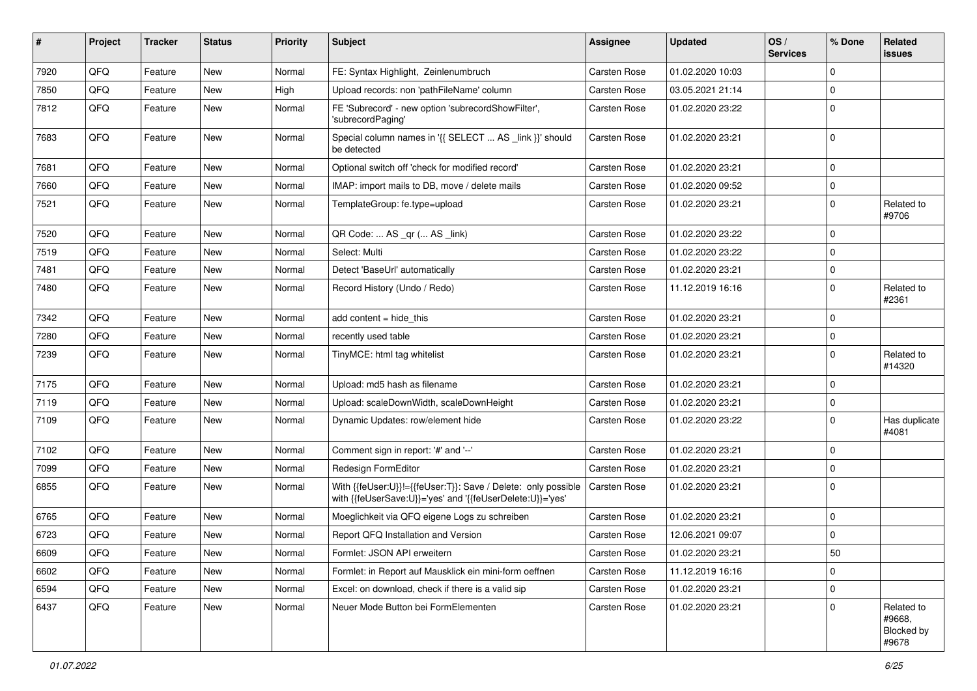| ∦    | Project | <b>Tracker</b> | <b>Status</b> | <b>Priority</b> | Subject                                                                                                                    | Assignee     | <b>Updated</b>   | OS/<br><b>Services</b> | % Done      | Related<br>issues                                  |
|------|---------|----------------|---------------|-----------------|----------------------------------------------------------------------------------------------------------------------------|--------------|------------------|------------------------|-------------|----------------------------------------------------|
| 7920 | QFQ     | Feature        | <b>New</b>    | Normal          | FE: Syntax Highlight, Zeinlenumbruch                                                                                       | Carsten Rose | 01.02.2020 10:03 |                        | $\Omega$    |                                                    |
| 7850 | QFQ     | Feature        | New           | High            | Upload records: non 'pathFileName' column                                                                                  | Carsten Rose | 03.05.2021 21:14 |                        | $\mathbf 0$ |                                                    |
| 7812 | QFQ     | Feature        | New           | Normal          | FE 'Subrecord' - new option 'subrecordShowFilter',<br>'subrecordPaging'                                                    | Carsten Rose | 01.02.2020 23:22 |                        | $\Omega$    |                                                    |
| 7683 | QFQ     | Feature        | <b>New</b>    | Normal          | Special column names in '{{ SELECT  AS _link }}' should<br>be detected                                                     | Carsten Rose | 01.02.2020 23:21 |                        | $\mathbf 0$ |                                                    |
| 7681 | QFQ     | Feature        | <b>New</b>    | Normal          | Optional switch off 'check for modified record'                                                                            | Carsten Rose | 01.02.2020 23:21 |                        | $\mathbf 0$ |                                                    |
| 7660 | QFQ     | Feature        | <b>New</b>    | Normal          | IMAP: import mails to DB, move / delete mails                                                                              | Carsten Rose | 01.02.2020 09:52 |                        | $\mathbf 0$ |                                                    |
| 7521 | QFQ     | Feature        | <b>New</b>    | Normal          | TemplateGroup: fe.type=upload                                                                                              | Carsten Rose | 01.02.2020 23:21 |                        | $\mathbf 0$ | Related to<br>#9706                                |
| 7520 | QFQ     | Feature        | <b>New</b>    | Normal          | QR Code:  AS _qr ( AS _link)                                                                                               | Carsten Rose | 01.02.2020 23:22 |                        | $\Omega$    |                                                    |
| 7519 | QFQ     | Feature        | <b>New</b>    | Normal          | Select: Multi                                                                                                              | Carsten Rose | 01.02.2020 23:22 |                        | $\Omega$    |                                                    |
| 7481 | QFQ     | Feature        | New           | Normal          | Detect 'BaseUrl' automatically                                                                                             | Carsten Rose | 01.02.2020 23:21 |                        | $\mathbf 0$ |                                                    |
| 7480 | QFQ     | Feature        | New           | Normal          | Record History (Undo / Redo)                                                                                               | Carsten Rose | 11.12.2019 16:16 |                        | $\Omega$    | Related to<br>#2361                                |
| 7342 | QFQ     | Feature        | <b>New</b>    | Normal          | add content $=$ hide this                                                                                                  | Carsten Rose | 01.02.2020 23:21 |                        | $\Omega$    |                                                    |
| 7280 | QFQ     | Feature        | New           | Normal          | recently used table                                                                                                        | Carsten Rose | 01.02.2020 23:21 |                        | $\mathbf 0$ |                                                    |
| 7239 | QFQ     | Feature        | <b>New</b>    | Normal          | TinyMCE: html tag whitelist                                                                                                | Carsten Rose | 01.02.2020 23:21 |                        | $\mathbf 0$ | Related to<br>#14320                               |
| 7175 | QFQ     | Feature        | <b>New</b>    | Normal          | Upload: md5 hash as filename                                                                                               | Carsten Rose | 01.02.2020 23:21 |                        | $\Omega$    |                                                    |
| 7119 | QFQ     | Feature        | New           | Normal          | Upload: scaleDownWidth, scaleDownHeight                                                                                    | Carsten Rose | 01.02.2020 23:21 |                        | $\mathbf 0$ |                                                    |
| 7109 | QFQ     | Feature        | New           | Normal          | Dynamic Updates: row/element hide                                                                                          | Carsten Rose | 01.02.2020 23:22 |                        | $\mathbf 0$ | Has duplicate<br>#4081                             |
| 7102 | QFQ     | Feature        | <b>New</b>    | Normal          | Comment sign in report: '#' and '--'                                                                                       | Carsten Rose | 01.02.2020 23:21 |                        | $\Omega$    |                                                    |
| 7099 | QFQ     | Feature        | <b>New</b>    | Normal          | Redesign FormEditor                                                                                                        | Carsten Rose | 01.02.2020 23:21 |                        | $\mathbf 0$ |                                                    |
| 6855 | QFQ     | Feature        | New           | Normal          | With {{feUser:U}}!={{feUser:T}}: Save / Delete: only possible<br>with {{feUserSave:U}}='yes' and '{{feUserDelete:U}}='yes' | Carsten Rose | 01.02.2020 23:21 |                        | $\mathbf 0$ |                                                    |
| 6765 | QFQ     | Feature        | <b>New</b>    | Normal          | Moeglichkeit via QFQ eigene Logs zu schreiben                                                                              | Carsten Rose | 01.02.2020 23:21 |                        | $\mathbf 0$ |                                                    |
| 6723 | QFQ     | Feature        | New           | Normal          | Report QFQ Installation and Version                                                                                        | Carsten Rose | 12.06.2021 09:07 |                        | $\mathbf 0$ |                                                    |
| 6609 | QFG     | Feature        | New           | Normal          | Formlet: JSON API erweitern                                                                                                | Carsten Rose | 01.02.2020 23:21 |                        | $50\,$      |                                                    |
| 6602 | QFQ     | Feature        | New           | Normal          | Formlet: in Report auf Mausklick ein mini-form oeffnen                                                                     | Carsten Rose | 11.12.2019 16:16 |                        | 0           |                                                    |
| 6594 | QFQ     | Feature        | New           | Normal          | Excel: on download, check if there is a valid sip                                                                          | Carsten Rose | 01.02.2020 23:21 |                        | 0           |                                                    |
| 6437 | QFQ     | Feature        | New           | Normal          | Neuer Mode Button bei FormElementen                                                                                        | Carsten Rose | 01.02.2020 23:21 |                        | $\Omega$    | Related to<br>#9668,<br><b>Blocked by</b><br>#9678 |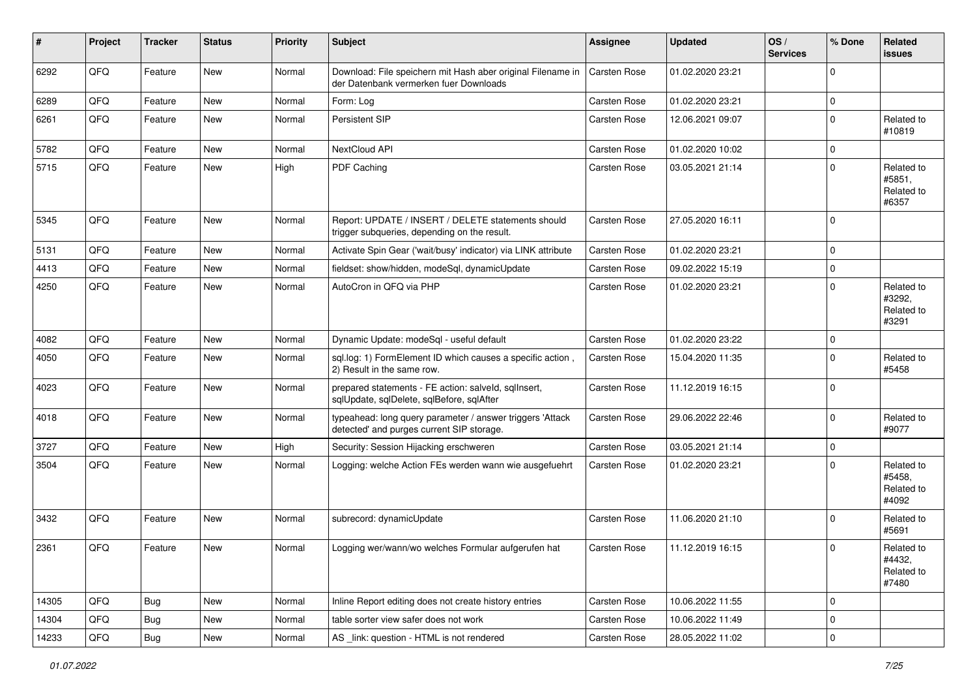| $\vert$ # | Project | <b>Tracker</b> | <b>Status</b> | <b>Priority</b> | <b>Subject</b>                                                                                         | Assignee     | <b>Updated</b>   | OS/<br><b>Services</b> | % Done      | Related<br><b>issues</b>                    |
|-----------|---------|----------------|---------------|-----------------|--------------------------------------------------------------------------------------------------------|--------------|------------------|------------------------|-------------|---------------------------------------------|
| 6292      | QFQ     | Feature        | New           | Normal          | Download: File speichern mit Hash aber original Filename in<br>der Datenbank vermerken fuer Downloads  | Carsten Rose | 01.02.2020 23:21 |                        | 0           |                                             |
| 6289      | QFQ     | Feature        | <b>New</b>    | Normal          | Form: Log                                                                                              | Carsten Rose | 01.02.2020 23:21 |                        | $\mathbf 0$ |                                             |
| 6261      | QFQ     | Feature        | <b>New</b>    | Normal          | Persistent SIP                                                                                         | Carsten Rose | 12.06.2021 09:07 |                        | 0           | Related to<br>#10819                        |
| 5782      | QFQ     | Feature        | <b>New</b>    | Normal          | NextCloud API                                                                                          | Carsten Rose | 01.02.2020 10:02 |                        | 0           |                                             |
| 5715      | QFQ     | Feature        | <b>New</b>    | High            | PDF Caching                                                                                            | Carsten Rose | 03.05.2021 21:14 |                        | 0           | Related to<br>#5851,<br>Related to<br>#6357 |
| 5345      | QFQ     | Feature        | <b>New</b>    | Normal          | Report: UPDATE / INSERT / DELETE statements should<br>trigger subqueries, depending on the result.     | Carsten Rose | 27.05.2020 16:11 |                        | $\Omega$    |                                             |
| 5131      | QFQ     | Feature        | <b>New</b>    | Normal          | Activate Spin Gear ('wait/busy' indicator) via LINK attribute                                          | Carsten Rose | 01.02.2020 23:21 |                        | 0           |                                             |
| 4413      | QFQ     | Feature        | New           | Normal          | fieldset: show/hidden, modeSql, dynamicUpdate                                                          | Carsten Rose | 09.02.2022 15:19 |                        | 0           |                                             |
| 4250      | QFQ     | Feature        | New           | Normal          | AutoCron in QFQ via PHP                                                                                | Carsten Rose | 01.02.2020 23:21 |                        | 0           | Related to<br>#3292.<br>Related to<br>#3291 |
| 4082      | QFQ     | Feature        | <b>New</b>    | Normal          | Dynamic Update: modeSql - useful default                                                               | Carsten Rose | 01.02.2020 23:22 |                        | 0           |                                             |
| 4050      | QFQ     | Feature        | <b>New</b>    | Normal          | sql.log: 1) FormElement ID which causes a specific action,<br>2) Result in the same row.               | Carsten Rose | 15.04.2020 11:35 |                        | 0           | Related to<br>#5458                         |
| 4023      | QFQ     | Feature        | <b>New</b>    | Normal          | prepared statements - FE action: salveld, sqllnsert,<br>sqlUpdate, sqlDelete, sqlBefore, sqlAfter      | Carsten Rose | 11.12.2019 16:15 |                        | 0           |                                             |
| 4018      | QFQ     | Feature        | New           | Normal          | typeahead: long query parameter / answer triggers 'Attack<br>detected' and purges current SIP storage. | Carsten Rose | 29.06.2022 22:46 |                        | 0           | Related to<br>#9077                         |
| 3727      | QFQ     | Feature        | <b>New</b>    | High            | Security: Session Hijacking erschweren                                                                 | Carsten Rose | 03.05.2021 21:14 |                        | 0           |                                             |
| 3504      | QFQ     | Feature        | <b>New</b>    | Normal          | Logging: welche Action FEs werden wann wie ausgefuehrt                                                 | Carsten Rose | 01.02.2020 23:21 |                        | 0           | Related to<br>#5458,<br>Related to<br>#4092 |
| 3432      | QFQ     | Feature        | New           | Normal          | subrecord: dynamicUpdate                                                                               | Carsten Rose | 11.06.2020 21:10 |                        | $\Omega$    | Related to<br>#5691                         |
| 2361      | QFQ     | Feature        | New           | Normal          | Logging wer/wann/wo welches Formular aufgerufen hat                                                    | Carsten Rose | 11.12.2019 16:15 |                        | $\Omega$    | Related to<br>#4432,<br>Related to<br>#7480 |
| 14305     | QFQ     | <b>Bug</b>     | <b>New</b>    | Normal          | Inline Report editing does not create history entries                                                  | Carsten Rose | 10.06.2022 11:55 |                        | 0           |                                             |
| 14304     | QFQ     | <b>Bug</b>     | New           | Normal          | table sorter view safer does not work                                                                  | Carsten Rose | 10.06.2022 11:49 |                        | 0           |                                             |
| 14233     | QFG     | <b>Bug</b>     | New           | Normal          | AS _link: question - HTML is not rendered                                                              | Carsten Rose | 28.05.2022 11:02 |                        | $\mathbf 0$ |                                             |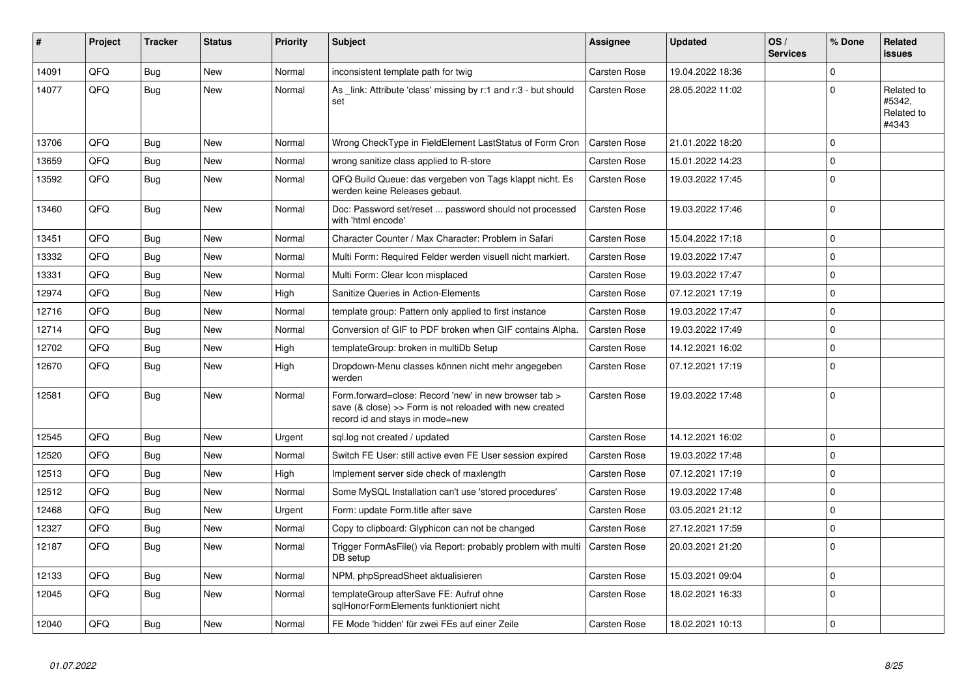| #     | Project | <b>Tracker</b> | <b>Status</b> | <b>Priority</b> | <b>Subject</b>                                                                                                                                      | Assignee            | <b>Updated</b>   | OS/<br><b>Services</b> | % Done   | Related<br><b>issues</b>                    |
|-------|---------|----------------|---------------|-----------------|-----------------------------------------------------------------------------------------------------------------------------------------------------|---------------------|------------------|------------------------|----------|---------------------------------------------|
| 14091 | QFQ     | Bug            | <b>New</b>    | Normal          | inconsistent template path for twig                                                                                                                 | <b>Carsten Rose</b> | 19.04.2022 18:36 |                        | $\Omega$ |                                             |
| 14077 | QFQ     | Bug            | New           | Normal          | As link: Attribute 'class' missing by r:1 and r:3 - but should<br>set                                                                               | Carsten Rose        | 28.05.2022 11:02 |                        | $\Omega$ | Related to<br>#5342.<br>Related to<br>#4343 |
| 13706 | QFQ     | Bug            | New           | Normal          | Wrong CheckType in FieldElement LastStatus of Form Cron                                                                                             | <b>Carsten Rose</b> | 21.01.2022 18:20 |                        | $\Omega$ |                                             |
| 13659 | QFQ     | Bug            | <b>New</b>    | Normal          | wrong sanitize class applied to R-store                                                                                                             | Carsten Rose        | 15.01.2022 14:23 |                        | $\Omega$ |                                             |
| 13592 | QFQ     | Bug            | <b>New</b>    | Normal          | QFQ Build Queue: das vergeben von Tags klappt nicht. Es<br>werden keine Releases gebaut.                                                            | <b>Carsten Rose</b> | 19.03.2022 17:45 |                        | $\Omega$ |                                             |
| 13460 | QFQ     | <b>Bug</b>     | <b>New</b>    | Normal          | Doc: Password set/reset  password should not processed<br>with 'html encode'                                                                        | <b>Carsten Rose</b> | 19.03.2022 17:46 |                        | $\Omega$ |                                             |
| 13451 | QFQ     | <b>Bug</b>     | <b>New</b>    | Normal          | Character Counter / Max Character: Problem in Safari                                                                                                | Carsten Rose        | 15.04.2022 17:18 |                        | $\Omega$ |                                             |
| 13332 | QFQ     | <b>Bug</b>     | <b>New</b>    | Normal          | Multi Form: Required Felder werden visuell nicht markiert.                                                                                          | Carsten Rose        | 19.03.2022 17:47 |                        | $\Omega$ |                                             |
| 13331 | QFQ     | Bug            | <b>New</b>    | Normal          | Multi Form: Clear Icon misplaced                                                                                                                    | <b>Carsten Rose</b> | 19.03.2022 17:47 |                        | $\Omega$ |                                             |
| 12974 | QFQ     | <b>Bug</b>     | <b>New</b>    | High            | Sanitize Queries in Action-Elements                                                                                                                 | <b>Carsten Rose</b> | 07.12.2021 17:19 |                        | $\Omega$ |                                             |
| 12716 | QFQ     | Bug            | <b>New</b>    | Normal          | template group: Pattern only applied to first instance                                                                                              | <b>Carsten Rose</b> | 19.03.2022 17:47 |                        | $\Omega$ |                                             |
| 12714 | QFQ     | Bug            | New           | Normal          | Conversion of GIF to PDF broken when GIF contains Alpha.                                                                                            | Carsten Rose        | 19.03.2022 17:49 |                        | $\Omega$ |                                             |
| 12702 | QFQ     | Bug            | <b>New</b>    | High            | templateGroup: broken in multiDb Setup                                                                                                              | <b>Carsten Rose</b> | 14.12.2021 16:02 |                        | $\Omega$ |                                             |
| 12670 | QFQ     | Bug            | New           | High            | Dropdown-Menu classes können nicht mehr angegeben<br>werden                                                                                         | Carsten Rose        | 07.12.2021 17:19 |                        | $\Omega$ |                                             |
| 12581 | QFQ     | Bug            | <b>New</b>    | Normal          | Form.forward=close: Record 'new' in new browser tab ><br>save (& close) >> Form is not reloaded with new created<br>record id and stays in mode=new | <b>Carsten Rose</b> | 19.03.2022 17:48 |                        | $\Omega$ |                                             |
| 12545 | QFQ     | Bug            | <b>New</b>    | Urgent          | sql.log not created / updated                                                                                                                       | Carsten Rose        | 14.12.2021 16:02 |                        | $\Omega$ |                                             |
| 12520 | QFQ     | <b>Bug</b>     | <b>New</b>    | Normal          | Switch FE User: still active even FE User session expired                                                                                           | <b>Carsten Rose</b> | 19.03.2022 17:48 |                        | $\Omega$ |                                             |
| 12513 | QFQ     | <b>Bug</b>     | <b>New</b>    | High            | Implement server side check of maxlength                                                                                                            | <b>Carsten Rose</b> | 07.12.2021 17:19 |                        | $\Omega$ |                                             |
| 12512 | QFQ     | Bug            | <b>New</b>    | Normal          | Some MySQL Installation can't use 'stored procedures'                                                                                               | Carsten Rose        | 19.03.2022 17:48 |                        | $\Omega$ |                                             |
| 12468 | QFQ     | <b>Bug</b>     | <b>New</b>    | Urgent          | Form: update Form.title after save                                                                                                                  | <b>Carsten Rose</b> | 03.05.2021 21:12 |                        | $\Omega$ |                                             |
| 12327 | QFQ     | <b>Bug</b>     | <b>New</b>    | Normal          | Copy to clipboard: Glyphicon can not be changed                                                                                                     | Carsten Rose        | 27.12.2021 17:59 |                        | $\Omega$ |                                             |
| 12187 | QFQ     | <b>Bug</b>     | <b>New</b>    | Normal          | Trigger FormAsFile() via Report: probably problem with multi<br>DB setup                                                                            | Carsten Rose        | 20.03.2021 21:20 |                        | $\Omega$ |                                             |
| 12133 | OFQ     | <b>Bug</b>     | New           | Normal          | NPM, phpSpreadSheet aktualisieren                                                                                                                   | Carsten Rose        | 15.03.2021 09:04 |                        | $\Omega$ |                                             |
| 12045 | QFQ     | Bug            | <b>New</b>    | Normal          | templateGroup afterSave FE: Aufruf ohne<br>sglHonorFormElements funktioniert nicht                                                                  | <b>Carsten Rose</b> | 18.02.2021 16:33 |                        | $\Omega$ |                                             |
| 12040 | QFQ     | Bug            | <b>New</b>    | Normal          | FE Mode 'hidden' für zwei FEs auf einer Zeile                                                                                                       | <b>Carsten Rose</b> | 18.02.2021 10:13 |                        | 0        |                                             |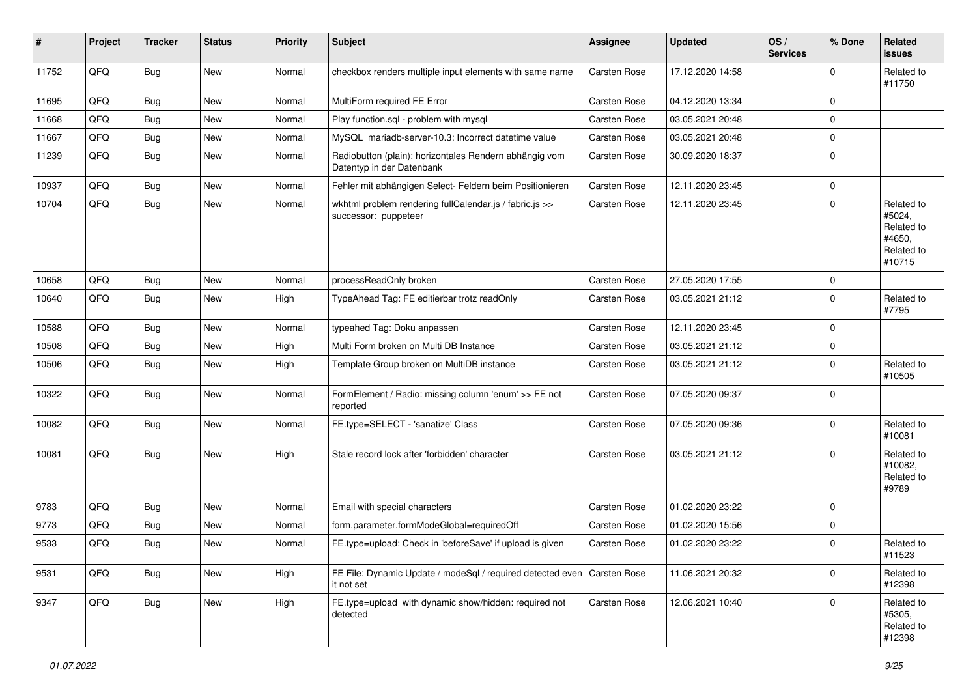| #     | Project | <b>Tracker</b> | <b>Status</b> | <b>Priority</b> | Subject                                                                                 | Assignee     | <b>Updated</b>   | OS/<br><b>Services</b> | % Done      | Related<br>issues                                                    |
|-------|---------|----------------|---------------|-----------------|-----------------------------------------------------------------------------------------|--------------|------------------|------------------------|-------------|----------------------------------------------------------------------|
| 11752 | QFQ     | Bug            | New           | Normal          | checkbox renders multiple input elements with same name                                 | Carsten Rose | 17.12.2020 14:58 |                        | $\mathbf 0$ | Related to<br>#11750                                                 |
| 11695 | QFQ     | <b>Bug</b>     | <b>New</b>    | Normal          | MultiForm required FE Error                                                             | Carsten Rose | 04.12.2020 13:34 |                        | 0           |                                                                      |
| 11668 | QFQ     | <b>Bug</b>     | <b>New</b>    | Normal          | Play function.sql - problem with mysql                                                  | Carsten Rose | 03.05.2021 20:48 |                        | $\mathbf 0$ |                                                                      |
| 11667 | QFQ     | <b>Bug</b>     | New           | Normal          | MySQL mariadb-server-10.3: Incorrect datetime value                                     | Carsten Rose | 03.05.2021 20:48 |                        | 0           |                                                                      |
| 11239 | QFQ     | Bug            | <b>New</b>    | Normal          | Radiobutton (plain): horizontales Rendern abhängig vom<br>Datentyp in der Datenbank     | Carsten Rose | 30.09.2020 18:37 |                        | $\mathbf 0$ |                                                                      |
| 10937 | QFQ     | <b>Bug</b>     | <b>New</b>    | Normal          | Fehler mit abhängigen Select- Feldern beim Positionieren                                | Carsten Rose | 12.11.2020 23:45 |                        | 0           |                                                                      |
| 10704 | QFQ     | <b>Bug</b>     | <b>New</b>    | Normal          | wkhtml problem rendering fullCalendar.js / fabric.js >><br>successor: puppeteer         | Carsten Rose | 12.11.2020 23:45 |                        | 0           | Related to<br>#5024,<br>Related to<br>#4650.<br>Related to<br>#10715 |
| 10658 | QFQ     | <b>Bug</b>     | <b>New</b>    | Normal          | processReadOnly broken                                                                  | Carsten Rose | 27.05.2020 17:55 |                        | $\mathbf 0$ |                                                                      |
| 10640 | QFQ     | <b>Bug</b>     | <b>New</b>    | High            | TypeAhead Tag: FE editierbar trotz readOnly                                             | Carsten Rose | 03.05.2021 21:12 |                        | 0           | Related to<br>#7795                                                  |
| 10588 | QFQ     | <b>Bug</b>     | <b>New</b>    | Normal          | typeahed Tag: Doku anpassen                                                             | Carsten Rose | 12.11.2020 23:45 |                        | $\mathbf 0$ |                                                                      |
| 10508 | QFQ     | <b>Bug</b>     | <b>New</b>    | High            | Multi Form broken on Multi DB Instance                                                  | Carsten Rose | 03.05.2021 21:12 |                        | $\mathbf 0$ |                                                                      |
| 10506 | QFQ     | Bug            | New           | High            | Template Group broken on MultiDB instance                                               | Carsten Rose | 03.05.2021 21:12 |                        | $\mathbf 0$ | Related to<br>#10505                                                 |
| 10322 | QFQ     | Bug            | <b>New</b>    | Normal          | FormElement / Radio: missing column 'enum' >> FE not<br>reported                        | Carsten Rose | 07.05.2020 09:37 |                        | $\mathbf 0$ |                                                                      |
| 10082 | QFQ     | Bug            | New           | Normal          | FE.type=SELECT - 'sanatize' Class                                                       | Carsten Rose | 07.05.2020 09:36 |                        | $\mathbf 0$ | Related to<br>#10081                                                 |
| 10081 | QFQ     | <b>Bug</b>     | New           | High            | Stale record lock after 'forbidden' character                                           | Carsten Rose | 03.05.2021 21:12 |                        | $\Omega$    | Related to<br>#10082,<br>Related to<br>#9789                         |
| 9783  | QFQ     | <b>Bug</b>     | <b>New</b>    | Normal          | Email with special characters                                                           | Carsten Rose | 01.02.2020 23:22 |                        | 0           |                                                                      |
| 9773  | QFQ     | <b>Bug</b>     | <b>New</b>    | Normal          | form.parameter.formModeGlobal=requiredOff                                               | Carsten Rose | 01.02.2020 15:56 |                        | 0           |                                                                      |
| 9533  | QFQ     | <b>Bug</b>     | New           | Normal          | FE.type=upload: Check in 'beforeSave' if upload is given                                | Carsten Rose | 01.02.2020 23:22 |                        | 0           | Related to<br>#11523                                                 |
| 9531  | QFQ     | <b>Bug</b>     | New           | High            | FE File: Dynamic Update / modeSql / required detected even   Carsten Rose<br>it not set |              | 11.06.2021 20:32 |                        | $\mathbf 0$ | Related to<br>#12398                                                 |
| 9347  | QFQ     | <b>Bug</b>     | New           | High            | FE.type=upload with dynamic show/hidden: required not<br>detected                       | Carsten Rose | 12.06.2021 10:40 |                        | $\mathbf 0$ | Related to<br>#5305,<br>Related to<br>#12398                         |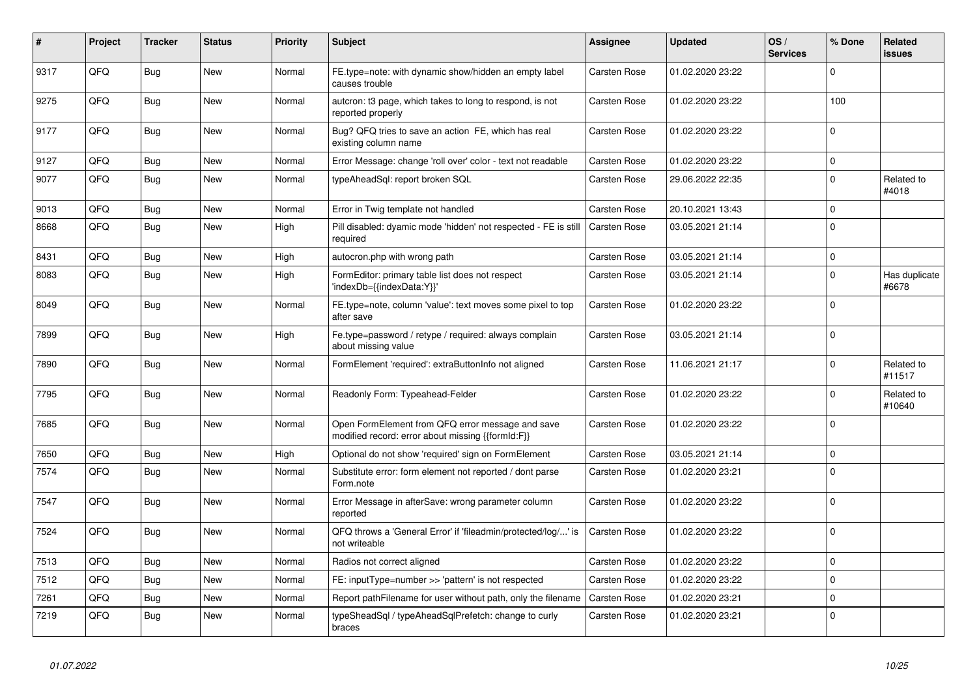| #    | Project | <b>Tracker</b> | <b>Status</b> | <b>Priority</b> | <b>Subject</b>                                                                                        | Assignee            | <b>Updated</b>   | OS/<br><b>Services</b> | % Done      | Related<br>issues      |
|------|---------|----------------|---------------|-----------------|-------------------------------------------------------------------------------------------------------|---------------------|------------------|------------------------|-------------|------------------------|
| 9317 | QFQ     | <b>Bug</b>     | <b>New</b>    | Normal          | FE.type=note: with dynamic show/hidden an empty label<br>causes trouble                               | <b>Carsten Rose</b> | 01.02.2020 23:22 |                        | $\Omega$    |                        |
| 9275 | QFQ     | Bug            | <b>New</b>    | Normal          | autcron: t3 page, which takes to long to respond, is not<br>reported properly                         | Carsten Rose        | 01.02.2020 23:22 |                        | 100         |                        |
| 9177 | QFQ     | <b>Bug</b>     | <b>New</b>    | Normal          | Bug? QFQ tries to save an action FE, which has real<br>existing column name                           | Carsten Rose        | 01.02.2020 23:22 |                        | $\Omega$    |                        |
| 9127 | QFQ     | <b>Bug</b>     | <b>New</b>    | Normal          | Error Message: change 'roll over' color - text not readable                                           | Carsten Rose        | 01.02.2020 23:22 |                        | $\Omega$    |                        |
| 9077 | QFQ     | <b>Bug</b>     | <b>New</b>    | Normal          | typeAheadSql: report broken SQL                                                                       | Carsten Rose        | 29.06.2022 22:35 |                        | $\Omega$    | Related to<br>#4018    |
| 9013 | QFQ     | Bug            | <b>New</b>    | Normal          | Error in Twig template not handled                                                                    | Carsten Rose        | 20.10.2021 13:43 |                        | $\Omega$    |                        |
| 8668 | QFQ     | <b>Bug</b>     | <b>New</b>    | High            | Pill disabled: dyamic mode 'hidden' not respected - FE is still<br>required                           | Carsten Rose        | 03.05.2021 21:14 |                        | $\Omega$    |                        |
| 8431 | QFQ     | <b>Bug</b>     | <b>New</b>    | High            | autocron.php with wrong path                                                                          | <b>Carsten Rose</b> | 03.05.2021 21:14 |                        | $\Omega$    |                        |
| 8083 | QFQ     | Bug            | <b>New</b>    | High            | FormEditor: primary table list does not respect<br>'indexDb={{indexData:Y}}'                          | Carsten Rose        | 03.05.2021 21:14 |                        | $\mathbf 0$ | Has duplicate<br>#6678 |
| 8049 | QFQ     | <b>Bug</b>     | <b>New</b>    | Normal          | FE.type=note, column 'value': text moves some pixel to top<br>after save                              | Carsten Rose        | 01.02.2020 23:22 |                        | $\Omega$    |                        |
| 7899 | QFQ     | <b>Bug</b>     | <b>New</b>    | High            | Fe.type=password / retype / required: always complain<br>about missing value                          | Carsten Rose        | 03.05.2021 21:14 |                        | $\Omega$    |                        |
| 7890 | QFQ     | <b>Bug</b>     | <b>New</b>    | Normal          | FormElement 'required': extraButtonInfo not aligned                                                   | <b>Carsten Rose</b> | 11.06.2021 21:17 |                        | $\Omega$    | Related to<br>#11517   |
| 7795 | QFQ     | <b>Bug</b>     | <b>New</b>    | Normal          | Readonly Form: Typeahead-Felder                                                                       | Carsten Rose        | 01.02.2020 23:22 |                        | $\Omega$    | Related to<br>#10640   |
| 7685 | QFQ     | Bug            | <b>New</b>    | Normal          | Open FormElement from QFQ error message and save<br>modified record: error about missing {{formId:F}} | Carsten Rose        | 01.02.2020 23:22 |                        | $\Omega$    |                        |
| 7650 | QFQ     | <b>Bug</b>     | <b>New</b>    | High            | Optional do not show 'required' sign on FormElement                                                   | Carsten Rose        | 03.05.2021 21:14 |                        | $\Omega$    |                        |
| 7574 | QFQ     | Bug            | <b>New</b>    | Normal          | Substitute error: form element not reported / dont parse<br>Form.note                                 | Carsten Rose        | 01.02.2020 23:21 |                        | $\Omega$    |                        |
| 7547 | QFQ     | <b>Bug</b>     | <b>New</b>    | Normal          | Error Message in afterSave: wrong parameter column<br>reported                                        | <b>Carsten Rose</b> | 01.02.2020 23:22 |                        | 0           |                        |
| 7524 | QFQ     | <b>Bug</b>     | <b>New</b>    | Normal          | QFQ throws a 'General Error' if 'fileadmin/protected/log/' is<br>not writeable                        | Carsten Rose        | 01.02.2020 23:22 |                        | $\Omega$    |                        |
| 7513 | QFQ     | Bug            | <b>New</b>    | Normal          | Radios not correct aligned                                                                            | Carsten Rose        | 01.02.2020 23:22 |                        | $\mathbf 0$ |                        |
| 7512 | QFQ     | Bug            | <b>New</b>    | Normal          | FE: inputType=number >> 'pattern' is not respected                                                    | <b>Carsten Rose</b> | 01.02.2020 23:22 |                        | $\mathbf 0$ |                        |
| 7261 | QFQ     | <b>Bug</b>     | <b>New</b>    | Normal          | Report pathFilename for user without path, only the filename                                          | Carsten Rose        | 01.02.2020 23:21 |                        | $\Omega$    |                        |
| 7219 | QFQ     | <b>Bug</b>     | <b>New</b>    | Normal          | typeSheadSql / typeAheadSqlPrefetch: change to curly<br>braces                                        | Carsten Rose        | 01.02.2020 23:21 |                        | $\Omega$    |                        |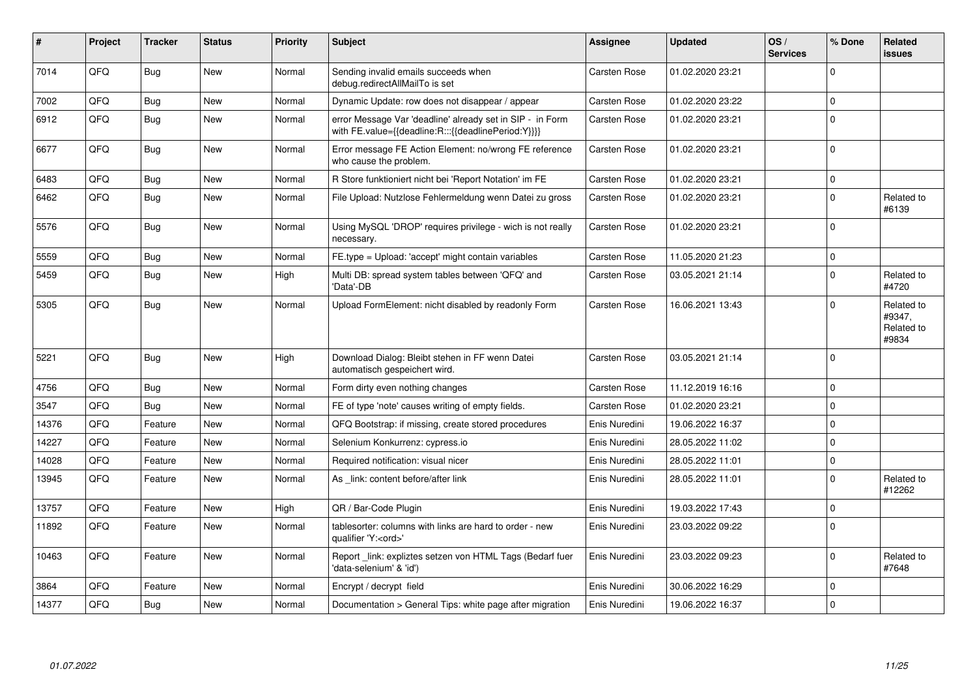| #     | Project | <b>Tracker</b> | <b>Status</b> | <b>Priority</b> | <b>Subject</b>                                                                                                   | Assignee            | <b>Updated</b>   | OS/<br><b>Services</b> | % Done      | Related<br><b>issues</b>                    |
|-------|---------|----------------|---------------|-----------------|------------------------------------------------------------------------------------------------------------------|---------------------|------------------|------------------------|-------------|---------------------------------------------|
| 7014  | QFQ     | <b>Bug</b>     | <b>New</b>    | Normal          | Sending invalid emails succeeds when<br>debug.redirectAllMailTo is set                                           | <b>Carsten Rose</b> | 01.02.2020 23:21 |                        | $\Omega$    |                                             |
| 7002  | QFQ     | <b>Bug</b>     | <b>New</b>    | Normal          | Dynamic Update: row does not disappear / appear                                                                  | Carsten Rose        | 01.02.2020 23:22 |                        | $\mathbf 0$ |                                             |
| 6912  | QFQ     | Bug            | New           | Normal          | error Message Var 'deadline' already set in SIP - in Form<br>with FE.value={{deadline:R:::{{deadlinePeriod:Y}}}} | Carsten Rose        | 01.02.2020 23:21 |                        | $\Omega$    |                                             |
| 6677  | QFQ     | <b>Bug</b>     | <b>New</b>    | Normal          | Error message FE Action Element: no/wrong FE reference<br>who cause the problem.                                 | <b>Carsten Rose</b> | 01.02.2020 23:21 |                        | $\mathbf 0$ |                                             |
| 6483  | QFQ     | <b>Bug</b>     | <b>New</b>    | Normal          | R Store funktioniert nicht bei 'Report Notation' im FE                                                           | <b>Carsten Rose</b> | 01.02.2020 23:21 |                        | $\mathbf 0$ |                                             |
| 6462  | QFQ     | <b>Bug</b>     | <b>New</b>    | Normal          | File Upload: Nutzlose Fehlermeldung wenn Datei zu gross                                                          | Carsten Rose        | 01.02.2020 23:21 |                        | $\mathbf 0$ | Related to<br>#6139                         |
| 5576  | QFQ     | <b>Bug</b>     | <b>New</b>    | Normal          | Using MySQL 'DROP' requires privilege - wich is not really<br>necessary.                                         | Carsten Rose        | 01.02.2020 23:21 |                        | $\Omega$    |                                             |
| 5559  | QFQ     | <b>Bug</b>     | <b>New</b>    | Normal          | FE.type = Upload: 'accept' might contain variables                                                               | <b>Carsten Rose</b> | 11.05.2020 21:23 |                        | $\mathbf 0$ |                                             |
| 5459  | QFQ     | Bug            | <b>New</b>    | High            | Multi DB: spread system tables between 'QFQ' and<br>'Data'-DB                                                    | Carsten Rose        | 03.05.2021 21:14 |                        | $\mathbf 0$ | Related to<br>#4720                         |
| 5305  | QFQ     | Bug            | <b>New</b>    | Normal          | Upload FormElement: nicht disabled by readonly Form                                                              | Carsten Rose        | 16.06.2021 13:43 |                        | $\Omega$    | Related to<br>#9347,<br>Related to<br>#9834 |
| 5221  | QFQ     | Bug            | <b>New</b>    | High            | Download Dialog: Bleibt stehen in FF wenn Datei<br>automatisch gespeichert wird.                                 | <b>Carsten Rose</b> | 03.05.2021 21:14 |                        | $\Omega$    |                                             |
| 4756  | QFQ     | Bug            | <b>New</b>    | Normal          | Form dirty even nothing changes                                                                                  | Carsten Rose        | 11.12.2019 16:16 |                        | $\mathbf 0$ |                                             |
| 3547  | QFQ     | <b>Bug</b>     | <b>New</b>    | Normal          | FE of type 'note' causes writing of empty fields.                                                                | Carsten Rose        | 01.02.2020 23:21 |                        | $\Omega$    |                                             |
| 14376 | QFQ     | Feature        | <b>New</b>    | Normal          | QFQ Bootstrap: if missing, create stored procedures                                                              | Enis Nuredini       | 19.06.2022 16:37 |                        | $\mathbf 0$ |                                             |
| 14227 | QFQ     | Feature        | <b>New</b>    | Normal          | Selenium Konkurrenz: cypress.io                                                                                  | Enis Nuredini       | 28.05.2022 11:02 |                        | $\mathbf 0$ |                                             |
| 14028 | QFQ     | Feature        | <b>New</b>    | Normal          | Required notification: visual nicer                                                                              | Enis Nuredini       | 28.05.2022 11:01 |                        | $\mathbf 0$ |                                             |
| 13945 | QFQ     | Feature        | <b>New</b>    | Normal          | As _link: content before/after link                                                                              | Enis Nuredini       | 28.05.2022 11:01 |                        | $\Omega$    | Related to<br>#12262                        |
| 13757 | QFQ     | Feature        | <b>New</b>    | High            | QR / Bar-Code Plugin                                                                                             | Enis Nuredini       | 19.03.2022 17:43 |                        | $\mathbf 0$ |                                             |
| 11892 | QFQ     | Feature        | <b>New</b>    | Normal          | tablesorter: columns with links are hard to order - new<br>qualifier 'Y: <ord>'</ord>                            | Enis Nuredini       | 23.03.2022 09:22 |                        | $\mathbf 0$ |                                             |
| 10463 | QFQ     | Feature        | <b>New</b>    | Normal          | Report link: expliztes setzen von HTML Tags (Bedarf fuer<br>'data-selenium' & 'id')                              | Enis Nuredini       | 23.03.2022 09:23 |                        | $\Omega$    | Related to<br>#7648                         |
| 3864  | QFQ     | Feature        | <b>New</b>    | Normal          | Encrypt / decrypt field                                                                                          | Enis Nuredini       | 30.06.2022 16:29 |                        | $\mathbf 0$ |                                             |
| 14377 | QFQ     | <b>Bug</b>     | <b>New</b>    | Normal          | Documentation > General Tips: white page after migration                                                         | Enis Nuredini       | 19.06.2022 16:37 |                        | $\mathbf 0$ |                                             |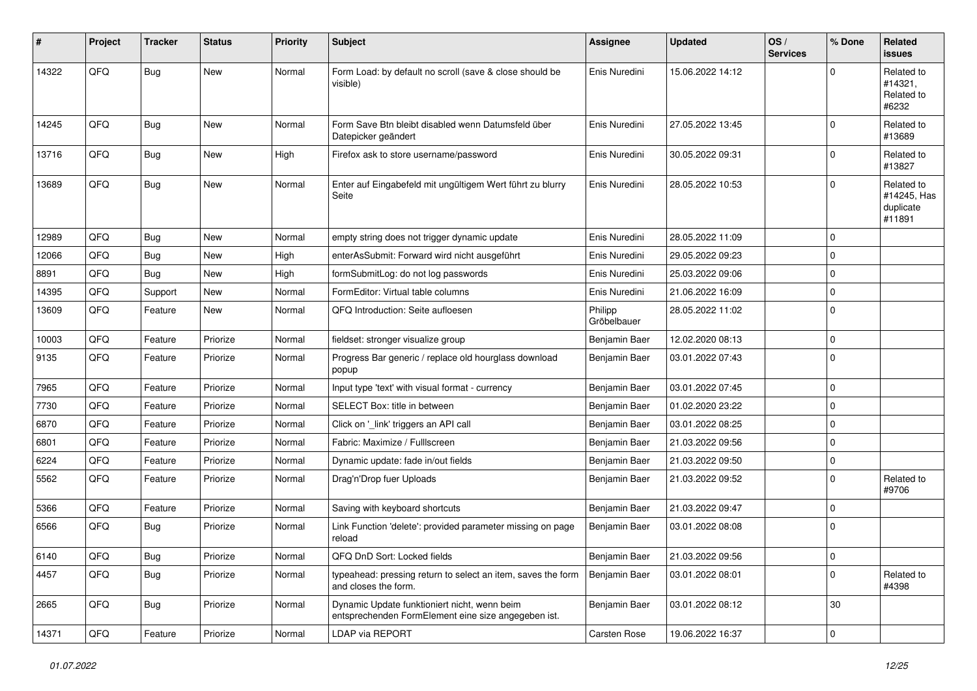| #     | Project | <b>Tracker</b> | <b>Status</b> | <b>Priority</b> | <b>Subject</b>                                                                                      | Assignee               | <b>Updated</b>   | OS/<br><b>Services</b> | % Done      | Related<br>issues                                |
|-------|---------|----------------|---------------|-----------------|-----------------------------------------------------------------------------------------------------|------------------------|------------------|------------------------|-------------|--------------------------------------------------|
| 14322 | QFQ     | <b>Bug</b>     | <b>New</b>    | Normal          | Form Load: by default no scroll (save & close should be<br>visible)                                 | Enis Nuredini          | 15.06.2022 14:12 |                        | $\Omega$    | Related to<br>#14321,<br>Related to<br>#6232     |
| 14245 | QFQ     | Bug            | <b>New</b>    | Normal          | Form Save Btn bleibt disabled wenn Datumsfeld über<br>Datepicker geändert                           | Enis Nuredini          | 27.05.2022 13:45 |                        | $\Omega$    | Related to<br>#13689                             |
| 13716 | QFQ     | <b>Bug</b>     | New           | High            | Firefox ask to store username/password                                                              | Enis Nuredini          | 30.05.2022 09:31 |                        | $\mathbf 0$ | Related to<br>#13827                             |
| 13689 | QFQ     | <b>Bug</b>     | New           | Normal          | Enter auf Eingabefeld mit ungültigem Wert führt zu blurry<br>Seite                                  | Enis Nuredini          | 28.05.2022 10:53 |                        | $\Omega$    | Related to<br>#14245, Has<br>duplicate<br>#11891 |
| 12989 | QFQ     | Bug            | New           | Normal          | empty string does not trigger dynamic update                                                        | Enis Nuredini          | 28.05.2022 11:09 |                        | $\mathbf 0$ |                                                  |
| 12066 | QFQ     | <b>Bug</b>     | New           | High            | enterAsSubmit: Forward wird nicht ausgeführt                                                        | Enis Nuredini          | 29.05.2022 09:23 |                        | 0           |                                                  |
| 8891  | QFQ     | <b>Bug</b>     | <b>New</b>    | High            | formSubmitLog: do not log passwords                                                                 | Enis Nuredini          | 25.03.2022 09:06 |                        | $\mathbf 0$ |                                                  |
| 14395 | QFQ     | Support        | New           | Normal          | FormEditor: Virtual table columns                                                                   | Enis Nuredini          | 21.06.2022 16:09 |                        | $\mathbf 0$ |                                                  |
| 13609 | QFQ     | Feature        | New           | Normal          | QFQ Introduction: Seite aufloesen                                                                   | Philipp<br>Gröbelbauer | 28.05.2022 11:02 |                        | $\mathbf 0$ |                                                  |
| 10003 | QFQ     | Feature        | Priorize      | Normal          | fieldset: stronger visualize group                                                                  | Benjamin Baer          | 12.02.2020 08:13 |                        | 0           |                                                  |
| 9135  | QFQ     | Feature        | Priorize      | Normal          | Progress Bar generic / replace old hourglass download<br>popup                                      | Benjamin Baer          | 03.01.2022 07:43 |                        | $\mathbf 0$ |                                                  |
| 7965  | QFQ     | Feature        | Priorize      | Normal          | Input type 'text' with visual format - currency                                                     | Benjamin Baer          | 03.01.2022 07:45 |                        | 0           |                                                  |
| 7730  | QFQ     | Feature        | Priorize      | Normal          | SELECT Box: title in between                                                                        | Benjamin Baer          | 01.02.2020 23:22 |                        | $\mathbf 0$ |                                                  |
| 6870  | QFQ     | Feature        | Priorize      | Normal          | Click on '_link' triggers an API call                                                               | Benjamin Baer          | 03.01.2022 08:25 |                        | 0           |                                                  |
| 6801  | QFQ     | Feature        | Priorize      | Normal          | Fabric: Maximize / Fulllscreen                                                                      | Benjamin Baer          | 21.03.2022 09:56 |                        | 0           |                                                  |
| 6224  | QFQ     | Feature        | Priorize      | Normal          | Dynamic update: fade in/out fields                                                                  | Benjamin Baer          | 21.03.2022 09:50 |                        | 0           |                                                  |
| 5562  | QFQ     | Feature        | Priorize      | Normal          | Drag'n'Drop fuer Uploads                                                                            | Benjamin Baer          | 21.03.2022 09:52 |                        | $\mathbf 0$ | Related to<br>#9706                              |
| 5366  | QFQ     | Feature        | Priorize      | Normal          | Saving with keyboard shortcuts                                                                      | Benjamin Baer          | 21.03.2022 09:47 |                        | 0           |                                                  |
| 6566  | QFQ     | Bug            | Priorize      | Normal          | Link Function 'delete': provided parameter missing on page<br>reload                                | Benjamin Baer          | 03.01.2022 08:08 |                        | $\mathbf 0$ |                                                  |
| 6140  | QFQ     | Bug            | Priorize      | Normal          | QFQ DnD Sort: Locked fields                                                                         | Benjamin Baer          | 21.03.2022 09:56 |                        | 0           |                                                  |
| 4457  | QFQ     | Bug            | Priorize      | Normal          | typeahead: pressing return to select an item, saves the form<br>and closes the form.                | Benjamin Baer          | 03.01.2022 08:01 |                        | $\mathbf 0$ | Related to<br>#4398                              |
| 2665  | QFQ     | <b>Bug</b>     | Priorize      | Normal          | Dynamic Update funktioniert nicht, wenn beim<br>entsprechenden FormElement eine size angegeben ist. | Benjamin Baer          | 03.01.2022 08:12 |                        | 30          |                                                  |
| 14371 | QFQ     | Feature        | Priorize      | Normal          | LDAP via REPORT                                                                                     | Carsten Rose           | 19.06.2022 16:37 |                        | $\mathbf 0$ |                                                  |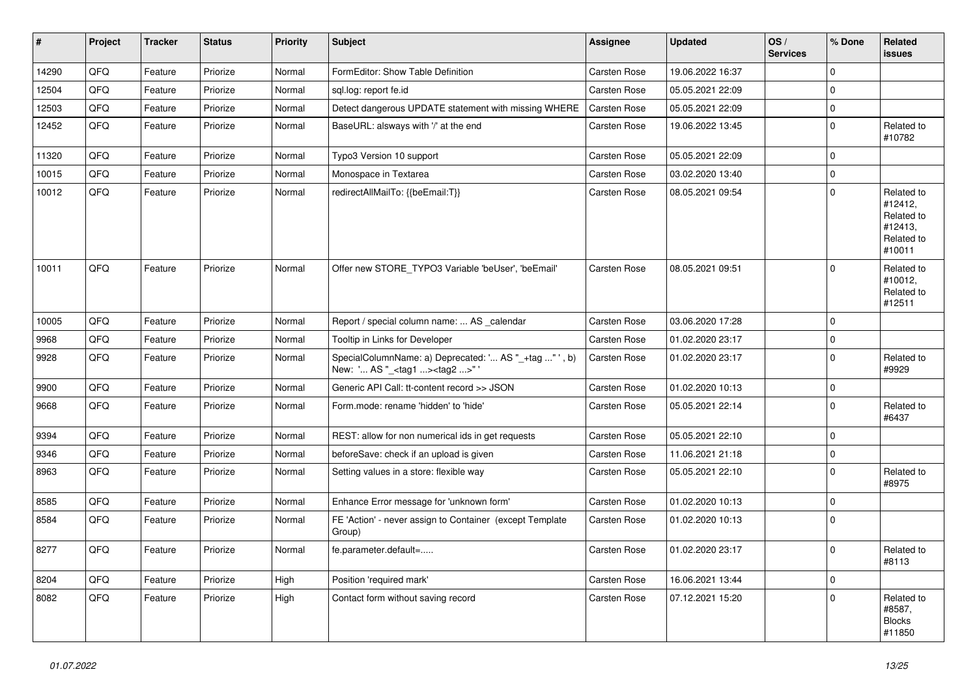| $\sharp$ | Project | <b>Tracker</b> | <b>Status</b> | <b>Priority</b> | <b>Subject</b>                                                                                      | Assignee     | <b>Updated</b>   | OS/<br><b>Services</b> | % Done      | Related<br>issues                                                      |
|----------|---------|----------------|---------------|-----------------|-----------------------------------------------------------------------------------------------------|--------------|------------------|------------------------|-------------|------------------------------------------------------------------------|
| 14290    | QFQ     | Feature        | Priorize      | Normal          | FormEditor: Show Table Definition                                                                   | Carsten Rose | 19.06.2022 16:37 |                        | $\mathbf 0$ |                                                                        |
| 12504    | QFQ     | Feature        | Priorize      | Normal          | sql.log: report fe.id                                                                               | Carsten Rose | 05.05.2021 22:09 |                        | 0           |                                                                        |
| 12503    | QFQ     | Feature        | Priorize      | Normal          | Detect dangerous UPDATE statement with missing WHERE                                                | Carsten Rose | 05.05.2021 22:09 |                        | 0           |                                                                        |
| 12452    | QFQ     | Feature        | Priorize      | Normal          | BaseURL: alsways with '/' at the end                                                                | Carsten Rose | 19.06.2022 13:45 |                        | 0           | Related to<br>#10782                                                   |
| 11320    | QFQ     | Feature        | Priorize      | Normal          | Typo3 Version 10 support                                                                            | Carsten Rose | 05.05.2021 22:09 |                        | 0           |                                                                        |
| 10015    | QFQ     | Feature        | Priorize      | Normal          | Monospace in Textarea                                                                               | Carsten Rose | 03.02.2020 13:40 |                        | 0           |                                                                        |
| 10012    | QFQ     | Feature        | Priorize      | Normal          | redirectAllMailTo: {{beEmail:T}}                                                                    | Carsten Rose | 08.05.2021 09:54 |                        | 0           | Related to<br>#12412,<br>Related to<br>#12413,<br>Related to<br>#10011 |
| 10011    | QFQ     | Feature        | Priorize      | Normal          | Offer new STORE TYPO3 Variable 'beUser', 'beEmail'                                                  | Carsten Rose | 08.05.2021 09:51 |                        | 0           | Related to<br>#10012,<br>Related to<br>#12511                          |
| 10005    | QFQ     | Feature        | Priorize      | Normal          | Report / special column name:  AS _calendar                                                         | Carsten Rose | 03.06.2020 17:28 |                        | 0           |                                                                        |
| 9968     | QFQ     | Feature        | Priorize      | Normal          | Tooltip in Links for Developer                                                                      | Carsten Rose | 01.02.2020 23:17 |                        | 0           |                                                                        |
| 9928     | QFQ     | Feature        | Priorize      | Normal          | SpecialColumnName: a) Deprecated: ' AS "_+tag " ', b)<br>New: ' AS "_ <tag1><tag2>" '</tag2></tag1> | Carsten Rose | 01.02.2020 23:17 |                        | 0           | Related to<br>#9929                                                    |
| 9900     | QFQ     | Feature        | Priorize      | Normal          | Generic API Call: tt-content record >> JSON                                                         | Carsten Rose | 01.02.2020 10:13 |                        | 0           |                                                                        |
| 9668     | QFQ     | Feature        | Priorize      | Normal          | Form.mode: rename 'hidden' to 'hide'                                                                | Carsten Rose | 05.05.2021 22:14 |                        | 0           | Related to<br>#6437                                                    |
| 9394     | QFQ     | Feature        | Priorize      | Normal          | REST: allow for non numerical ids in get requests                                                   | Carsten Rose | 05.05.2021 22:10 |                        | 0           |                                                                        |
| 9346     | QFQ     | Feature        | Priorize      | Normal          | beforeSave: check if an upload is given                                                             | Carsten Rose | 11.06.2021 21:18 |                        | 0           |                                                                        |
| 8963     | QFQ     | Feature        | Priorize      | Normal          | Setting values in a store: flexible way                                                             | Carsten Rose | 05.05.2021 22:10 |                        | 0           | Related to<br>#8975                                                    |
| 8585     | QFQ     | Feature        | Priorize      | Normal          | Enhance Error message for 'unknown form'                                                            | Carsten Rose | 01.02.2020 10:13 |                        | 0           |                                                                        |
| 8584     | QFQ     | Feature        | Priorize      | Normal          | FE 'Action' - never assign to Container (except Template<br>Group)                                  | Carsten Rose | 01.02.2020 10:13 |                        | 0           |                                                                        |
| 8277     | QFQ     | Feature        | Priorize      | Normal          | fe.parameter.default=                                                                               | Carsten Rose | 01.02.2020 23:17 |                        | 0           | Related to<br>#8113                                                    |
| 8204     | QFQ     | Feature        | Priorize      | High            | Position 'required mark'                                                                            | Carsten Rose | 16.06.2021 13:44 |                        | 0           |                                                                        |
| 8082     | QFQ     | Feature        | Priorize      | High            | Contact form without saving record                                                                  | Carsten Rose | 07.12.2021 15:20 |                        | $\pmb{0}$   | Related to<br>#8587,<br><b>Blocks</b><br>#11850                        |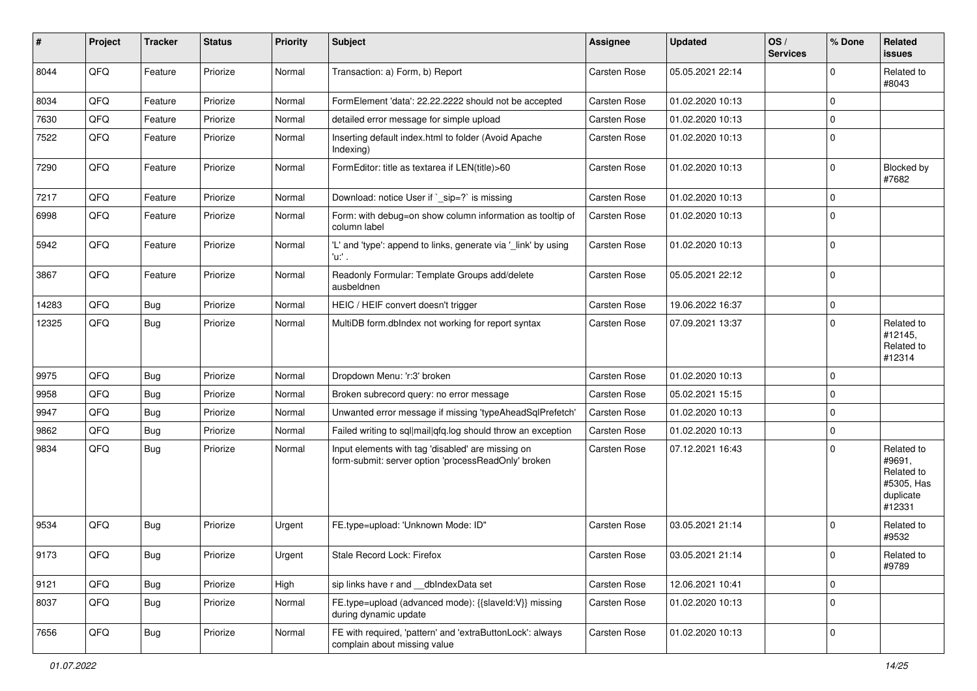| ∦     | Project | <b>Tracker</b> | <b>Status</b> | <b>Priority</b> | <b>Subject</b>                                                                                           | Assignee     | <b>Updated</b>   | OS/<br><b>Services</b> | % Done      | Related<br>issues                                                       |
|-------|---------|----------------|---------------|-----------------|----------------------------------------------------------------------------------------------------------|--------------|------------------|------------------------|-------------|-------------------------------------------------------------------------|
| 8044  | QFQ     | Feature        | Priorize      | Normal          | Transaction: a) Form, b) Report                                                                          | Carsten Rose | 05.05.2021 22:14 |                        | $\Omega$    | Related to<br>#8043                                                     |
| 8034  | QFQ     | Feature        | Priorize      | Normal          | FormElement 'data': 22.22.2222 should not be accepted                                                    | Carsten Rose | 01.02.2020 10:13 |                        | $\Omega$    |                                                                         |
| 7630  | QFQ     | Feature        | Priorize      | Normal          | detailed error message for simple upload                                                                 | Carsten Rose | 01.02.2020 10:13 |                        | $\mathbf 0$ |                                                                         |
| 7522  | QFQ     | Feature        | Priorize      | Normal          | Inserting default index.html to folder (Avoid Apache<br>Indexing)                                        | Carsten Rose | 01.02.2020 10:13 |                        | $\mathbf 0$ |                                                                         |
| 7290  | QFQ     | Feature        | Priorize      | Normal          | FormEditor: title as textarea if LEN(title)>60                                                           | Carsten Rose | 01.02.2020 10:13 |                        | $\mathbf 0$ | Blocked by<br>#7682                                                     |
| 7217  | QFQ     | Feature        | Priorize      | Normal          | Download: notice User if `_sip=?` is missing                                                             | Carsten Rose | 01.02.2020 10:13 |                        | $\mathbf 0$ |                                                                         |
| 6998  | QFQ     | Feature        | Priorize      | Normal          | Form: with debug=on show column information as tooltip of<br>column label                                | Carsten Rose | 01.02.2020 10:13 |                        | $\mathbf 0$ |                                                                         |
| 5942  | QFQ     | Feature        | Priorize      | Normal          | 'L' and 'type': append to links, generate via '_link' by using<br>'u:' .                                 | Carsten Rose | 01.02.2020 10:13 |                        | $\mathbf 0$ |                                                                         |
| 3867  | QFQ     | Feature        | Priorize      | Normal          | Readonly Formular: Template Groups add/delete<br>ausbeldnen                                              | Carsten Rose | 05.05.2021 22:12 |                        | $\mathbf 0$ |                                                                         |
| 14283 | QFQ     | Bug            | Priorize      | Normal          | HEIC / HEIF convert doesn't trigger                                                                      | Carsten Rose | 19.06.2022 16:37 |                        | $\mathbf 0$ |                                                                         |
| 12325 | QFQ     | Bug            | Priorize      | Normal          | MultiDB form.dblndex not working for report syntax                                                       | Carsten Rose | 07.09.2021 13:37 |                        | $\Omega$    | Related to<br>#12145,<br>Related to<br>#12314                           |
| 9975  | QFQ     | Bug            | Priorize      | Normal          | Dropdown Menu: 'r:3' broken                                                                              | Carsten Rose | 01.02.2020 10:13 |                        | $\mathbf 0$ |                                                                         |
| 9958  | QFQ     | Bug            | Priorize      | Normal          | Broken subrecord query: no error message                                                                 | Carsten Rose | 05.02.2021 15:15 |                        | $\mathbf 0$ |                                                                         |
| 9947  | QFQ     | <b>Bug</b>     | Priorize      | Normal          | Unwanted error message if missing 'typeAheadSqlPrefetch'                                                 | Carsten Rose | 01.02.2020 10:13 |                        | $\mathbf 0$ |                                                                         |
| 9862  | QFQ     | Bug            | Priorize      | Normal          | Failed writing to sql mail qfq.log should throw an exception                                             | Carsten Rose | 01.02.2020 10:13 |                        | $\mathbf 0$ |                                                                         |
| 9834  | QFQ     | Bug            | Priorize      | Normal          | Input elements with tag 'disabled' are missing on<br>form-submit: server option 'processReadOnly' broken | Carsten Rose | 07.12.2021 16:43 |                        | $\Omega$    | Related to<br>#9691,<br>Related to<br>#5305, Has<br>duplicate<br>#12331 |
| 9534  | QFQ     | Bug            | Priorize      | Urgent          | FE.type=upload: 'Unknown Mode: ID"                                                                       | Carsten Rose | 03.05.2021 21:14 |                        | $\Omega$    | Related to<br>#9532                                                     |
| 9173  | QFQ     | <b>Bug</b>     | Priorize      | Urgent          | Stale Record Lock: Firefox                                                                               | Carsten Rose | 03.05.2021 21:14 |                        | O           | Related to<br>#9789                                                     |
| 9121  | QFQ     | Bug            | Priorize      | High            | sip links have r and __dbIndexData set                                                                   | Carsten Rose | 12.06.2021 10:41 |                        | $\mathbf 0$ |                                                                         |
| 8037  | QFQ     | <b>Bug</b>     | Priorize      | Normal          | FE.type=upload (advanced mode): {{slaveld:V}} missing<br>during dynamic update                           | Carsten Rose | 01.02.2020 10:13 |                        | $\mathbf 0$ |                                                                         |
| 7656  | QFG     | <b>Bug</b>     | Priorize      | Normal          | FE with required, 'pattern' and 'extraButtonLock': always<br>complain about missing value                | Carsten Rose | 01.02.2020 10:13 |                        | $\mathbf 0$ |                                                                         |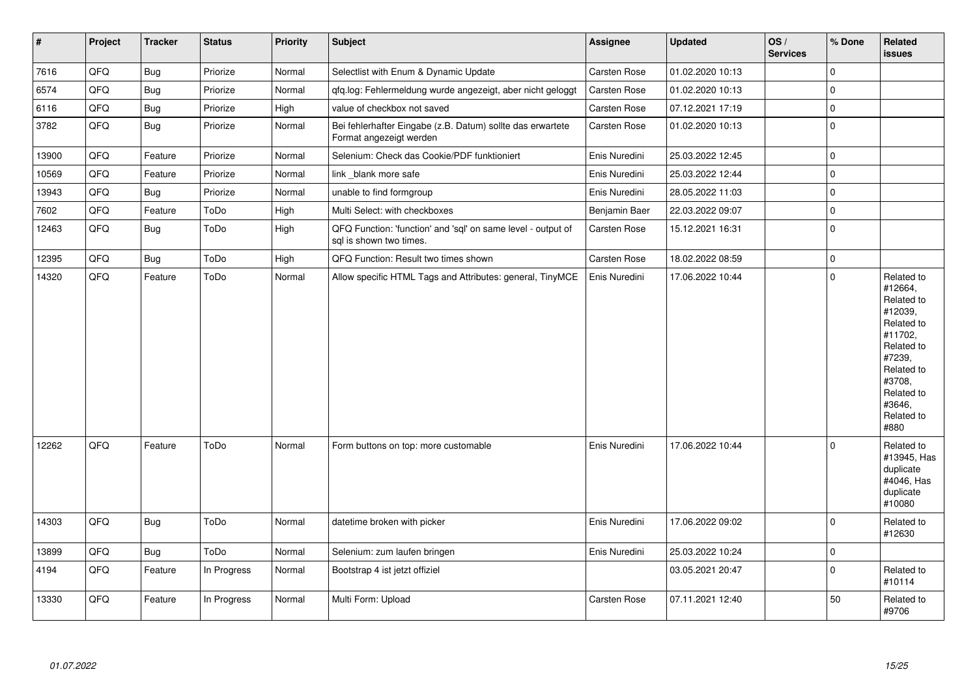| $\vert$ # | Project | <b>Tracker</b> | <b>Status</b> | Priority | Subject                                                                                 | Assignee      | <b>Updated</b>   | OS/<br><b>Services</b> | % Done         | Related<br><b>issues</b>                                                                                                                                              |
|-----------|---------|----------------|---------------|----------|-----------------------------------------------------------------------------------------|---------------|------------------|------------------------|----------------|-----------------------------------------------------------------------------------------------------------------------------------------------------------------------|
| 7616      | QFQ     | <b>Bug</b>     | Priorize      | Normal   | Selectlist with Enum & Dynamic Update                                                   | Carsten Rose  | 01.02.2020 10:13 |                        | 0              |                                                                                                                                                                       |
| 6574      | QFQ     | <b>Bug</b>     | Priorize      | Normal   | qfq.log: Fehlermeldung wurde angezeigt, aber nicht geloggt                              | Carsten Rose  | 01.02.2020 10:13 |                        | $\Omega$       |                                                                                                                                                                       |
| 6116      | QFQ     | <b>Bug</b>     | Priorize      | High     | value of checkbox not saved                                                             | Carsten Rose  | 07.12.2021 17:19 |                        | $\Omega$       |                                                                                                                                                                       |
| 3782      | QFQ     | <b>Bug</b>     | Priorize      | Normal   | Bei fehlerhafter Eingabe (z.B. Datum) sollte das erwartete<br>Format angezeigt werden   | Carsten Rose  | 01.02.2020 10:13 |                        | 0              |                                                                                                                                                                       |
| 13900     | QFQ     | Feature        | Priorize      | Normal   | Selenium: Check das Cookie/PDF funktioniert                                             | Enis Nuredini | 25.03.2022 12:45 |                        | $\pmb{0}$      |                                                                                                                                                                       |
| 10569     | QFQ     | Feature        | Priorize      | Normal   | link_blank more safe                                                                    | Enis Nuredini | 25.03.2022 12:44 |                        | $\mathbf 0$    |                                                                                                                                                                       |
| 13943     | QFQ     | <b>Bug</b>     | Priorize      | Normal   | unable to find formgroup                                                                | Enis Nuredini | 28.05.2022 11:03 |                        | $\mathbf 0$    |                                                                                                                                                                       |
| 7602      | QFQ     | Feature        | ToDo          | High     | Multi Select: with checkboxes                                                           | Benjamin Baer | 22.03.2022 09:07 |                        | $\overline{0}$ |                                                                                                                                                                       |
| 12463     | QFQ     | Bug            | ToDo          | High     | QFQ Function: 'function' and 'sql' on same level - output of<br>sql is shown two times. | Carsten Rose  | 15.12.2021 16:31 |                        | 0              |                                                                                                                                                                       |
| 12395     | QFQ     | <b>Bug</b>     | ToDo          | High     | QFQ Function: Result two times shown                                                    | Carsten Rose  | 18.02.2022 08:59 |                        | 0              |                                                                                                                                                                       |
| 14320     | QFQ     | Feature        | ToDo          | Normal   | Allow specific HTML Tags and Attributes: general, TinyMCE                               | Enis Nuredini | 17.06.2022 10:44 |                        | $\mathbf 0$    | Related to<br>#12664,<br>Related to<br>#12039,<br>Related to<br>#11702,<br>Related to<br>#7239,<br>Related to<br>#3708,<br>Related to<br>#3646,<br>Related to<br>#880 |
| 12262     | QFQ     | Feature        | ToDo          | Normal   | Form buttons on top: more customable                                                    | Enis Nuredini | 17.06.2022 10:44 |                        | $\Omega$       | Related to<br>#13945, Has<br>duplicate<br>#4046, Has<br>duplicate<br>#10080                                                                                           |
| 14303     | QFQ     | Bug            | ToDo          | Normal   | datetime broken with picker                                                             | Enis Nuredini | 17.06.2022 09:02 |                        | $\Omega$       | Related to<br>#12630                                                                                                                                                  |
| 13899     | QFQ     | <b>Bug</b>     | ToDo          | Normal   | Selenium: zum laufen bringen                                                            | Enis Nuredini | 25.03.2022 10:24 |                        | $\mathbf 0$    |                                                                                                                                                                       |
| 4194      | QFQ     | Feature        | In Progress   | Normal   | Bootstrap 4 ist jetzt offiziel                                                          |               | 03.05.2021 20:47 |                        | 0              | Related to<br>#10114                                                                                                                                                  |
| 13330     | QFQ     | Feature        | In Progress   | Normal   | Multi Form: Upload                                                                      | Carsten Rose  | 07.11.2021 12:40 |                        | 50             | Related to<br>#9706                                                                                                                                                   |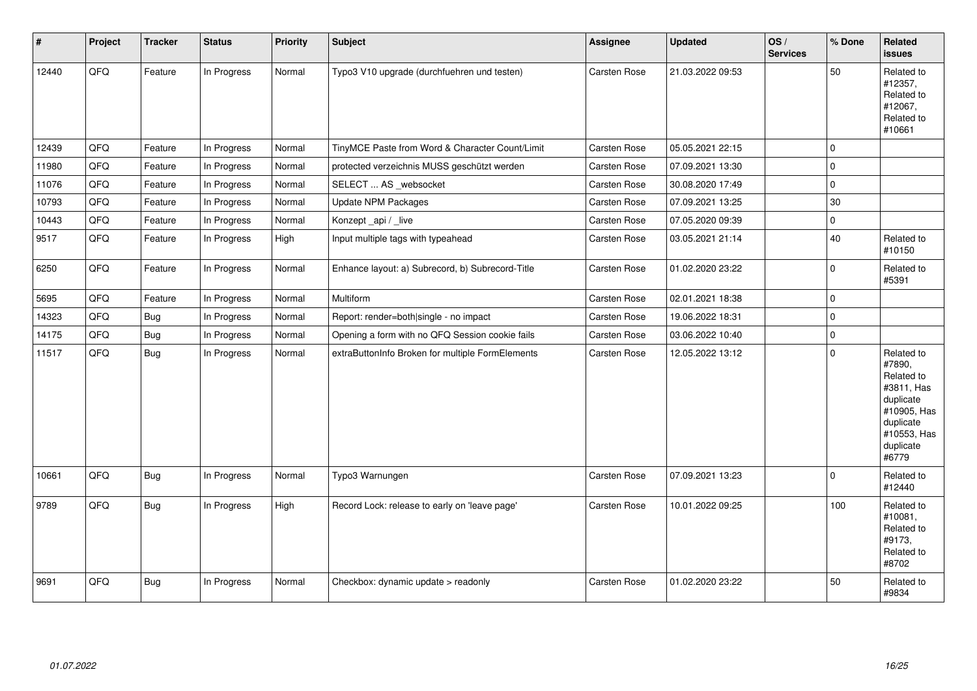| #     | Project | <b>Tracker</b> | <b>Status</b> | Priority | <b>Subject</b>                                   | Assignee            | <b>Updated</b>   | OS/<br><b>Services</b> | % Done         | <b>Related</b><br><b>issues</b>                                                                                                |
|-------|---------|----------------|---------------|----------|--------------------------------------------------|---------------------|------------------|------------------------|----------------|--------------------------------------------------------------------------------------------------------------------------------|
| 12440 | QFQ     | Feature        | In Progress   | Normal   | Typo3 V10 upgrade (durchfuehren und testen)      | Carsten Rose        | 21.03.2022 09:53 |                        | 50             | Related to<br>#12357,<br>Related to<br>#12067,<br>Related to<br>#10661                                                         |
| 12439 | QFQ     | Feature        | In Progress   | Normal   | TinyMCE Paste from Word & Character Count/Limit  | Carsten Rose        | 05.05.2021 22:15 |                        | $\Omega$       |                                                                                                                                |
| 11980 | QFQ     | Feature        | In Progress   | Normal   | protected verzeichnis MUSS geschützt werden      | Carsten Rose        | 07.09.2021 13:30 |                        | $\Omega$       |                                                                                                                                |
| 11076 | QFQ     | Feature        | In Progress   | Normal   | SELECT  AS _websocket                            | <b>Carsten Rose</b> | 30.08.2020 17:49 |                        | $\overline{0}$ |                                                                                                                                |
| 10793 | QFQ     | Feature        | In Progress   | Normal   | <b>Update NPM Packages</b>                       | Carsten Rose        | 07.09.2021 13:25 |                        | 30             |                                                                                                                                |
| 10443 | QFQ     | Feature        | In Progress   | Normal   | Konzept_api / _live                              | Carsten Rose        | 07.05.2020 09:39 |                        | $\mathbf 0$    |                                                                                                                                |
| 9517  | QFQ     | Feature        | In Progress   | High     | Input multiple tags with typeahead               | Carsten Rose        | 03.05.2021 21:14 |                        | 40             | Related to<br>#10150                                                                                                           |
| 6250  | QFQ     | Feature        | In Progress   | Normal   | Enhance layout: a) Subrecord, b) Subrecord-Title | Carsten Rose        | 01.02.2020 23:22 |                        | $\Omega$       | Related to<br>#5391                                                                                                            |
| 5695  | QFQ     | Feature        | In Progress   | Normal   | Multiform                                        | Carsten Rose        | 02.01.2021 18:38 |                        | $\Omega$       |                                                                                                                                |
| 14323 | QFQ     | Bug            | In Progress   | Normal   | Report: render=both single - no impact           | Carsten Rose        | 19.06.2022 18:31 |                        | $\mathbf 0$    |                                                                                                                                |
| 14175 | QFQ     | <b>Bug</b>     | In Progress   | Normal   | Opening a form with no QFQ Session cookie fails  | Carsten Rose        | 03.06.2022 10:40 |                        | $\mathbf 0$    |                                                                                                                                |
| 11517 | QFQ     | <b>Bug</b>     | In Progress   | Normal   | extraButtonInfo Broken for multiple FormElements | Carsten Rose        | 12.05.2022 13:12 |                        | $\Omega$       | Related to<br>#7890,<br>Related to<br>#3811, Has<br>duplicate<br>#10905, Has<br>duplicate<br>#10553, Has<br>duplicate<br>#6779 |
| 10661 | QFQ     | <b>Bug</b>     | In Progress   | Normal   | Typo3 Warnungen                                  | Carsten Rose        | 07.09.2021 13:23 |                        | $\Omega$       | Related to<br>#12440                                                                                                           |
| 9789  | QFQ     | Bug            | In Progress   | High     | Record Lock: release to early on 'leave page'    | <b>Carsten Rose</b> | 10.01.2022 09:25 |                        | 100            | Related to<br>#10081,<br>Related to<br>#9173,<br>Related to<br>#8702                                                           |
| 9691  | QFQ     | <b>Bug</b>     | In Progress   | Normal   | Checkbox: dynamic update > readonly              | Carsten Rose        | 01.02.2020 23:22 |                        | 50             | Related to<br>#9834                                                                                                            |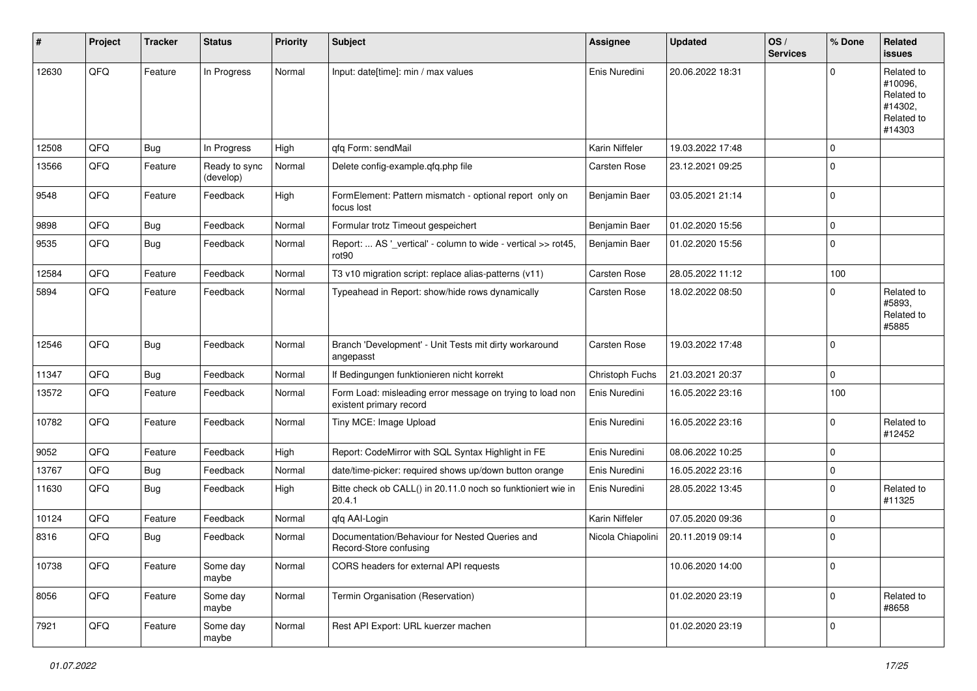| #     | Project | <b>Tracker</b> | <b>Status</b>              | <b>Priority</b> | <b>Subject</b>                                                                       | Assignee          | <b>Updated</b>   | OS/<br><b>Services</b> | % Done      | Related<br><b>issues</b>                                               |
|-------|---------|----------------|----------------------------|-----------------|--------------------------------------------------------------------------------------|-------------------|------------------|------------------------|-------------|------------------------------------------------------------------------|
| 12630 | QFQ     | Feature        | In Progress                | Normal          | Input: date[time]: min / max values                                                  | Enis Nuredini     | 20.06.2022 18:31 |                        | $\Omega$    | Related to<br>#10096,<br>Related to<br>#14302,<br>Related to<br>#14303 |
| 12508 | QFQ     | Bug            | In Progress                | High            | qfq Form: sendMail                                                                   | Karin Niffeler    | 19.03.2022 17:48 |                        | $\mathbf 0$ |                                                                        |
| 13566 | QFQ     | Feature        | Ready to sync<br>(develop) | Normal          | Delete config-example.qfq.php file                                                   | Carsten Rose      | 23.12.2021 09:25 |                        | $\mathbf 0$ |                                                                        |
| 9548  | QFQ     | Feature        | Feedback                   | High            | FormElement: Pattern mismatch - optional report only on<br>focus lost                | Benjamin Baer     | 03.05.2021 21:14 |                        | $\mathbf 0$ |                                                                        |
| 9898  | QFQ     | <b>Bug</b>     | Feedback                   | Normal          | Formular trotz Timeout gespeichert                                                   | Benjamin Baer     | 01.02.2020 15:56 |                        | $\mathbf 0$ |                                                                        |
| 9535  | QFQ     | Bug            | Feedback                   | Normal          | Report:  AS '_vertical' - column to wide - vertical >> rot45,<br>rot <sub>90</sub>   | Benjamin Baer     | 01.02.2020 15:56 |                        | $\mathbf 0$ |                                                                        |
| 12584 | QFQ     | Feature        | Feedback                   | Normal          | T3 v10 migration script: replace alias-patterns (v11)                                | Carsten Rose      | 28.05.2022 11:12 |                        | 100         |                                                                        |
| 5894  | QFQ     | Feature        | Feedback                   | Normal          | Typeahead in Report: show/hide rows dynamically                                      | Carsten Rose      | 18.02.2022 08:50 |                        | 0           | Related to<br>#5893,<br>Related to<br>#5885                            |
| 12546 | QFQ     | Bug            | Feedback                   | Normal          | Branch 'Development' - Unit Tests mit dirty workaround<br>angepasst                  | Carsten Rose      | 19.03.2022 17:48 |                        | $\Omega$    |                                                                        |
| 11347 | QFQ     | Bug            | Feedback                   | Normal          | If Bedingungen funktionieren nicht korrekt                                           | Christoph Fuchs   | 21.03.2021 20:37 |                        | $\mathbf 0$ |                                                                        |
| 13572 | QFQ     | Feature        | Feedback                   | Normal          | Form Load: misleading error message on trying to load non<br>existent primary record | Enis Nuredini     | 16.05.2022 23:16 |                        | 100         |                                                                        |
| 10782 | QFQ     | Feature        | Feedback                   | Normal          | Tiny MCE: Image Upload                                                               | Enis Nuredini     | 16.05.2022 23:16 |                        | $\mathbf 0$ | Related to<br>#12452                                                   |
| 9052  | QFQ     | Feature        | Feedback                   | High            | Report: CodeMirror with SQL Syntax Highlight in FE                                   | Enis Nuredini     | 08.06.2022 10:25 |                        | $\mathbf 0$ |                                                                        |
| 13767 | QFQ     | Bug            | Feedback                   | Normal          | date/time-picker: required shows up/down button orange                               | Enis Nuredini     | 16.05.2022 23:16 |                        | $\mathbf 0$ |                                                                        |
| 11630 | QFQ     | Bug            | Feedback                   | High            | Bitte check ob CALL() in 20.11.0 noch so funktioniert wie in<br>20.4.1               | Enis Nuredini     | 28.05.2022 13:45 |                        | $\mathbf 0$ | Related to<br>#11325                                                   |
| 10124 | QFQ     | Feature        | Feedback                   | Normal          | qfq AAI-Login                                                                        | Karin Niffeler    | 07.05.2020 09:36 |                        | $\mathbf 0$ |                                                                        |
| 8316  | QFQ     | Bug            | Feedback                   | Normal          | Documentation/Behaviour for Nested Queries and<br>Record-Store confusing             | Nicola Chiapolini | 20.11.2019 09:14 |                        | 0           |                                                                        |
| 10738 | QFQ     | Feature        | Some day<br>maybe          | Normal          | CORS headers for external API requests                                               |                   | 10.06.2020 14:00 |                        | $\pmb{0}$   |                                                                        |
| 8056  | QFQ     | Feature        | Some day<br>maybe          | Normal          | Termin Organisation (Reservation)                                                    |                   | 01.02.2020 23:19 |                        | $\mathbf 0$ | Related to<br>#8658                                                    |
| 7921  | QFQ     | Feature        | Some day<br>maybe          | Normal          | Rest API Export: URL kuerzer machen                                                  |                   | 01.02.2020 23:19 |                        | 0           |                                                                        |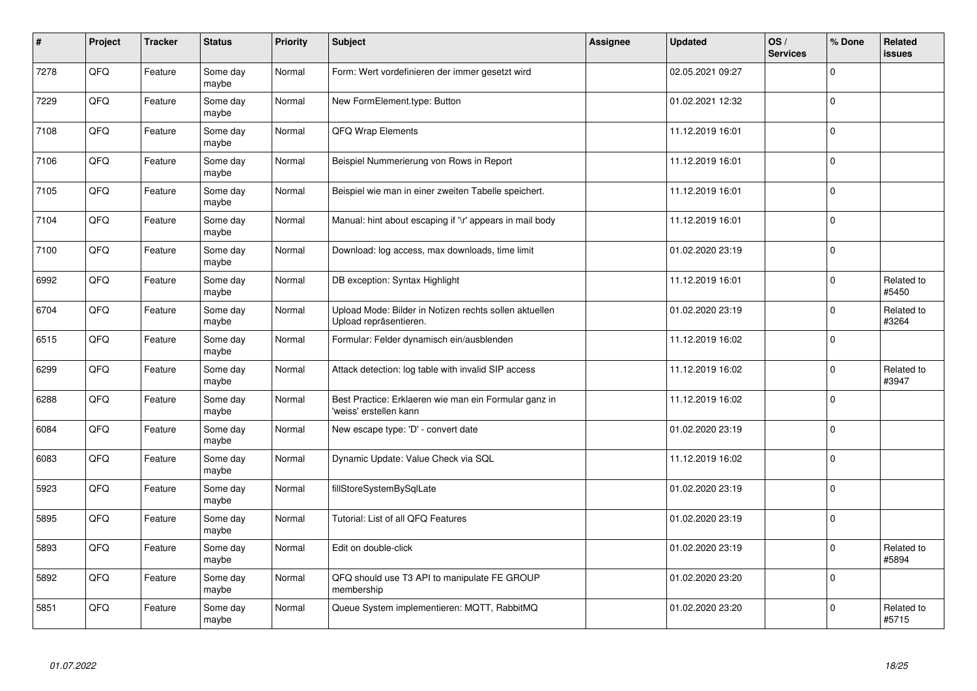| #    | Project | <b>Tracker</b> | <b>Status</b>     | <b>Priority</b> | <b>Subject</b>                                                                   | <b>Assignee</b> | <b>Updated</b>   | OS/<br><b>Services</b> | % Done              | <b>Related</b><br>issues |
|------|---------|----------------|-------------------|-----------------|----------------------------------------------------------------------------------|-----------------|------------------|------------------------|---------------------|--------------------------|
| 7278 | QFQ     | Feature        | Some day<br>maybe | Normal          | Form: Wert vordefinieren der immer gesetzt wird                                  |                 | 02.05.2021 09:27 |                        | $\Omega$            |                          |
| 7229 | QFQ     | Feature        | Some day<br>maybe | Normal          | New FormElement.type: Button                                                     |                 | 01.02.2021 12:32 |                        | $\mathbf 0$         |                          |
| 7108 | QFQ     | Feature        | Some day<br>maybe | Normal          | QFQ Wrap Elements                                                                |                 | 11.12.2019 16:01 |                        | $\mathsf{O}\xspace$ |                          |
| 7106 | QFQ     | Feature        | Some day<br>maybe | Normal          | Beispiel Nummerierung von Rows in Report                                         |                 | 11.12.2019 16:01 |                        | $\Omega$            |                          |
| 7105 | QFQ     | Feature        | Some day<br>maybe | Normal          | Beispiel wie man in einer zweiten Tabelle speichert.                             |                 | 11.12.2019 16:01 |                        | $\mathbf 0$         |                          |
| 7104 | QFQ     | Feature        | Some day<br>maybe | Normal          | Manual: hint about escaping if '\r' appears in mail body                         |                 | 11.12.2019 16:01 |                        | $\pmb{0}$           |                          |
| 7100 | QFQ     | Feature        | Some day<br>maybe | Normal          | Download: log access, max downloads, time limit                                  |                 | 01.02.2020 23:19 |                        | $\mathbf 0$         |                          |
| 6992 | QFQ     | Feature        | Some day<br>maybe | Normal          | DB exception: Syntax Highlight                                                   |                 | 11.12.2019 16:01 |                        | 0                   | Related to<br>#5450      |
| 6704 | QFQ     | Feature        | Some day<br>maybe | Normal          | Upload Mode: Bilder in Notizen rechts sollen aktuellen<br>Upload repräsentieren. |                 | 01.02.2020 23:19 |                        | $\Omega$            | Related to<br>#3264      |
| 6515 | QFQ     | Feature        | Some day<br>maybe | Normal          | Formular: Felder dynamisch ein/ausblenden                                        |                 | 11.12.2019 16:02 |                        | $\mathbf 0$         |                          |
| 6299 | QFQ     | Feature        | Some day<br>maybe | Normal          | Attack detection: log table with invalid SIP access                              |                 | 11.12.2019 16:02 |                        | $\mathbf 0$         | Related to<br>#3947      |
| 6288 | QFQ     | Feature        | Some day<br>maybe | Normal          | Best Practice: Erklaeren wie man ein Formular ganz in<br>'weiss' erstellen kann  |                 | 11.12.2019 16:02 |                        | 0                   |                          |
| 6084 | QFQ     | Feature        | Some day<br>maybe | Normal          | New escape type: 'D' - convert date                                              |                 | 01.02.2020 23:19 |                        | $\mathbf 0$         |                          |
| 6083 | QFQ     | Feature        | Some day<br>maybe | Normal          | Dynamic Update: Value Check via SQL                                              |                 | 11.12.2019 16:02 |                        | 0                   |                          |
| 5923 | QFQ     | Feature        | Some day<br>maybe | Normal          | fillStoreSystemBySqlLate                                                         |                 | 01.02.2020 23:19 |                        | $\Omega$            |                          |
| 5895 | QFQ     | Feature        | Some day<br>maybe | Normal          | Tutorial: List of all QFQ Features                                               |                 | 01.02.2020 23:19 |                        | 0                   |                          |
| 5893 | QFQ     | Feature        | Some day<br>maybe | Normal          | Edit on double-click                                                             |                 | 01.02.2020 23:19 |                        | $\mathbf 0$         | Related to<br>#5894      |
| 5892 | QFQ     | Feature        | Some day<br>maybe | Normal          | QFQ should use T3 API to manipulate FE GROUP<br>membership                       |                 | 01.02.2020 23:20 |                        | 0                   |                          |
| 5851 | QFQ     | Feature        | Some day<br>maybe | Normal          | Queue System implementieren: MQTT, RabbitMQ                                      |                 | 01.02.2020 23:20 |                        | $\mathbf 0$         | Related to<br>#5715      |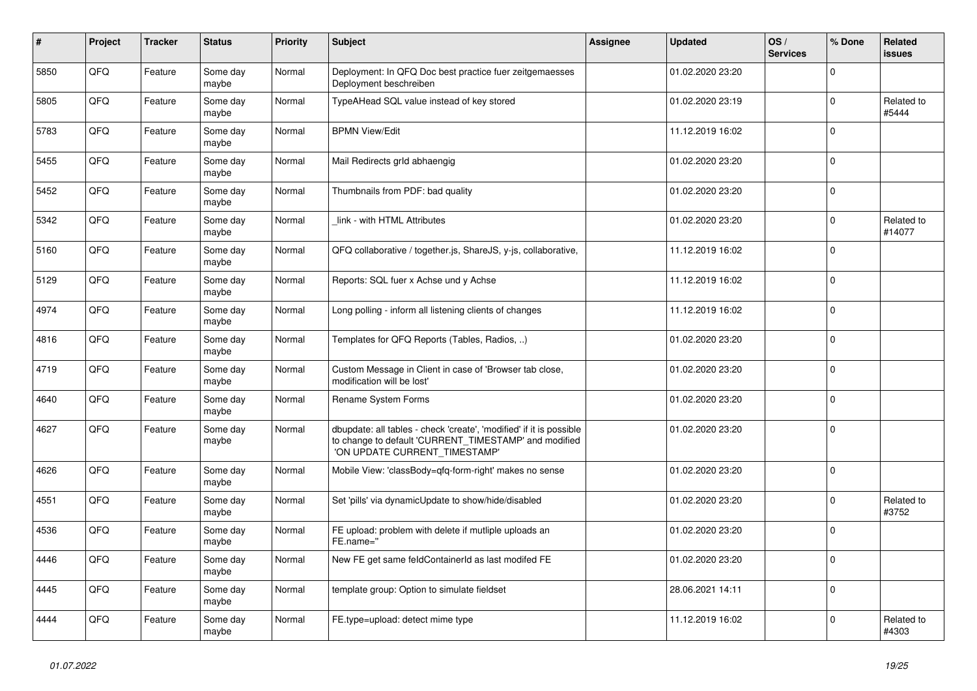| $\pmb{\#}$ | Project | <b>Tracker</b> | <b>Status</b>     | <b>Priority</b> | <b>Subject</b>                                                                                                                                                | <b>Assignee</b> | <b>Updated</b>   | OS/<br><b>Services</b> | % Done       | Related<br>issues    |
|------------|---------|----------------|-------------------|-----------------|---------------------------------------------------------------------------------------------------------------------------------------------------------------|-----------------|------------------|------------------------|--------------|----------------------|
| 5850       | QFQ     | Feature        | Some day<br>maybe | Normal          | Deployment: In QFQ Doc best practice fuer zeitgemaesses<br>Deployment beschreiben                                                                             |                 | 01.02.2020 23:20 |                        | $\Omega$     |                      |
| 5805       | QFQ     | Feature        | Some day<br>maybe | Normal          | TypeAHead SQL value instead of key stored                                                                                                                     |                 | 01.02.2020 23:19 |                        | $\mathbf 0$  | Related to<br>#5444  |
| 5783       | QFQ     | Feature        | Some day<br>maybe | Normal          | <b>BPMN View/Edit</b>                                                                                                                                         |                 | 11.12.2019 16:02 |                        | $\mathbf 0$  |                      |
| 5455       | QFQ     | Feature        | Some day<br>maybe | Normal          | Mail Redirects grld abhaengig                                                                                                                                 |                 | 01.02.2020 23:20 |                        | $\Omega$     |                      |
| 5452       | QFQ     | Feature        | Some day<br>maybe | Normal          | Thumbnails from PDF: bad quality                                                                                                                              |                 | 01.02.2020 23:20 |                        | $\mathbf 0$  |                      |
| 5342       | QFQ     | Feature        | Some day<br>maybe | Normal          | link - with HTML Attributes                                                                                                                                   |                 | 01.02.2020 23:20 |                        | $\pmb{0}$    | Related to<br>#14077 |
| 5160       | QFQ     | Feature        | Some day<br>maybe | Normal          | QFQ collaborative / together.js, ShareJS, y-js, collaborative,                                                                                                |                 | 11.12.2019 16:02 |                        | $\mathbf{0}$ |                      |
| 5129       | QFQ     | Feature        | Some day<br>maybe | Normal          | Reports: SQL fuer x Achse und y Achse                                                                                                                         |                 | 11.12.2019 16:02 |                        | $\mathbf 0$  |                      |
| 4974       | QFQ     | Feature        | Some day<br>maybe | Normal          | Long polling - inform all listening clients of changes                                                                                                        |                 | 11.12.2019 16:02 |                        | $\mathbf 0$  |                      |
| 4816       | QFQ     | Feature        | Some day<br>maybe | Normal          | Templates for QFQ Reports (Tables, Radios, )                                                                                                                  |                 | 01.02.2020 23:20 |                        | $\mathbf 0$  |                      |
| 4719       | QFQ     | Feature        | Some day<br>maybe | Normal          | Custom Message in Client in case of 'Browser tab close,<br>modification will be lost'                                                                         |                 | 01.02.2020 23:20 |                        | $\mathbf 0$  |                      |
| 4640       | QFQ     | Feature        | Some day<br>maybe | Normal          | Rename System Forms                                                                                                                                           |                 | 01.02.2020 23:20 |                        | $\mathbf 0$  |                      |
| 4627       | QFQ     | Feature        | Some day<br>maybe | Normal          | dbupdate: all tables - check 'create', 'modified' if it is possible<br>to change to default 'CURRENT_TIMESTAMP' and modified<br>'ON UPDATE CURRENT_TIMESTAMP' |                 | 01.02.2020 23:20 |                        | $\mathbf 0$  |                      |
| 4626       | QFQ     | Feature        | Some day<br>maybe | Normal          | Mobile View: 'classBody=qfq-form-right' makes no sense                                                                                                        |                 | 01.02.2020 23:20 |                        | $\mathbf 0$  |                      |
| 4551       | QFQ     | Feature        | Some day<br>maybe | Normal          | Set 'pills' via dynamicUpdate to show/hide/disabled                                                                                                           |                 | 01.02.2020 23:20 |                        | $\pmb{0}$    | Related to<br>#3752  |
| 4536       | QFQ     | Feature        | Some day<br>maybe | Normal          | FE upload: problem with delete if mutliple uploads an<br>FE.name="                                                                                            |                 | 01.02.2020 23:20 |                        | $\Omega$     |                      |
| 4446       | QFQ     | Feature        | Some day<br>maybe | Normal          | New FE get same feldContainerId as last modifed FE                                                                                                            |                 | 01.02.2020 23:20 |                        | $\Omega$     |                      |
| 4445       | QFQ     | Feature        | Some day<br>maybe | Normal          | template group: Option to simulate fieldset                                                                                                                   |                 | 28.06.2021 14:11 |                        | $\mathbf 0$  |                      |
| 4444       | QFQ     | Feature        | Some day<br>maybe | Normal          | FE.type=upload: detect mime type                                                                                                                              |                 | 11.12.2019 16:02 |                        | $\mathbf 0$  | Related to<br>#4303  |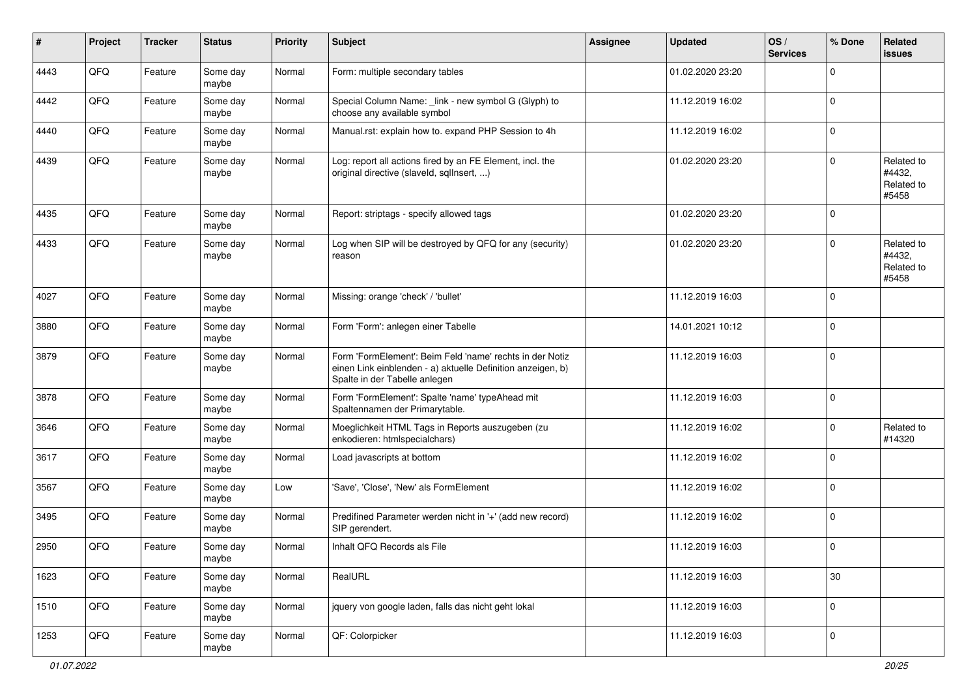| #    | Project | <b>Tracker</b> | <b>Status</b>     | <b>Priority</b> | <b>Subject</b>                                                                                                                                           | <b>Assignee</b> | <b>Updated</b>   | OS/<br><b>Services</b> | % Done      | Related<br>issues                           |
|------|---------|----------------|-------------------|-----------------|----------------------------------------------------------------------------------------------------------------------------------------------------------|-----------------|------------------|------------------------|-------------|---------------------------------------------|
| 4443 | QFQ     | Feature        | Some day<br>maybe | Normal          | Form: multiple secondary tables                                                                                                                          |                 | 01.02.2020 23:20 |                        | $\mathbf 0$ |                                             |
| 4442 | QFQ     | Feature        | Some day<br>maybe | Normal          | Special Column Name: _link - new symbol G (Glyph) to<br>choose any available symbol                                                                      |                 | 11.12.2019 16:02 |                        | $\mathbf 0$ |                                             |
| 4440 | QFQ     | Feature        | Some day<br>maybe | Normal          | Manual.rst: explain how to. expand PHP Session to 4h                                                                                                     |                 | 11.12.2019 16:02 |                        | $\mathbf 0$ |                                             |
| 4439 | QFQ     | Feature        | Some day<br>maybe | Normal          | Log: report all actions fired by an FE Element, incl. the<br>original directive (slaveld, sqlInsert, )                                                   |                 | 01.02.2020 23:20 |                        | $\mathbf 0$ | Related to<br>#4432,<br>Related to<br>#5458 |
| 4435 | QFQ     | Feature        | Some day<br>maybe | Normal          | Report: striptags - specify allowed tags                                                                                                                 |                 | 01.02.2020 23:20 |                        | $\mathbf 0$ |                                             |
| 4433 | QFQ     | Feature        | Some day<br>maybe | Normal          | Log when SIP will be destroyed by QFQ for any (security)<br>reason                                                                                       |                 | 01.02.2020 23:20 |                        | $\mathbf 0$ | Related to<br>#4432,<br>Related to<br>#5458 |
| 4027 | QFQ     | Feature        | Some day<br>maybe | Normal          | Missing: orange 'check' / 'bullet'                                                                                                                       |                 | 11.12.2019 16:03 |                        | $\mathbf 0$ |                                             |
| 3880 | QFQ     | Feature        | Some day<br>maybe | Normal          | Form 'Form': anlegen einer Tabelle                                                                                                                       |                 | 14.01.2021 10:12 |                        | $\mathbf 0$ |                                             |
| 3879 | QFQ     | Feature        | Some day<br>maybe | Normal          | Form 'FormElement': Beim Feld 'name' rechts in der Notiz<br>einen Link einblenden - a) aktuelle Definition anzeigen, b)<br>Spalte in der Tabelle anlegen |                 | 11.12.2019 16:03 |                        | $\mathbf 0$ |                                             |
| 3878 | QFQ     | Feature        | Some day<br>maybe | Normal          | Form 'FormElement': Spalte 'name' typeAhead mit<br>Spaltennamen der Primarytable.                                                                        |                 | 11.12.2019 16:03 |                        | $\mathbf 0$ |                                             |
| 3646 | QFQ     | Feature        | Some day<br>maybe | Normal          | Moeglichkeit HTML Tags in Reports auszugeben (zu<br>enkodieren: htmlspecialchars)                                                                        |                 | 11.12.2019 16:02 |                        | $\mathbf 0$ | Related to<br>#14320                        |
| 3617 | QFQ     | Feature        | Some day<br>maybe | Normal          | Load javascripts at bottom                                                                                                                               |                 | 11.12.2019 16:02 |                        | $\mathbf 0$ |                                             |
| 3567 | QFQ     | Feature        | Some day<br>maybe | Low             | 'Save', 'Close', 'New' als FormElement                                                                                                                   |                 | 11.12.2019 16:02 |                        | $\mathbf 0$ |                                             |
| 3495 | QFQ     | Feature        | Some day<br>maybe | Normal          | Predifined Parameter werden nicht in '+' (add new record)<br>SIP gerendert.                                                                              |                 | 11.12.2019 16:02 |                        | $\mathbf 0$ |                                             |
| 2950 | QFQ     | Feature        | Some day<br>maybe | Normal          | Inhalt QFQ Records als File                                                                                                                              |                 | 11.12.2019 16:03 |                        | $\mathbf 0$ |                                             |
| 1623 | QFQ     | Feature        | Some day<br>maybe | Normal          | RealURL                                                                                                                                                  |                 | 11.12.2019 16:03 |                        | 30          |                                             |
| 1510 | QFQ     | Feature        | Some day<br>maybe | Normal          | jquery von google laden, falls das nicht geht lokal                                                                                                      |                 | 11.12.2019 16:03 |                        | 0           |                                             |
| 1253 | QFG     | Feature        | Some day<br>maybe | Normal          | QF: Colorpicker                                                                                                                                          |                 | 11.12.2019 16:03 |                        | 0           |                                             |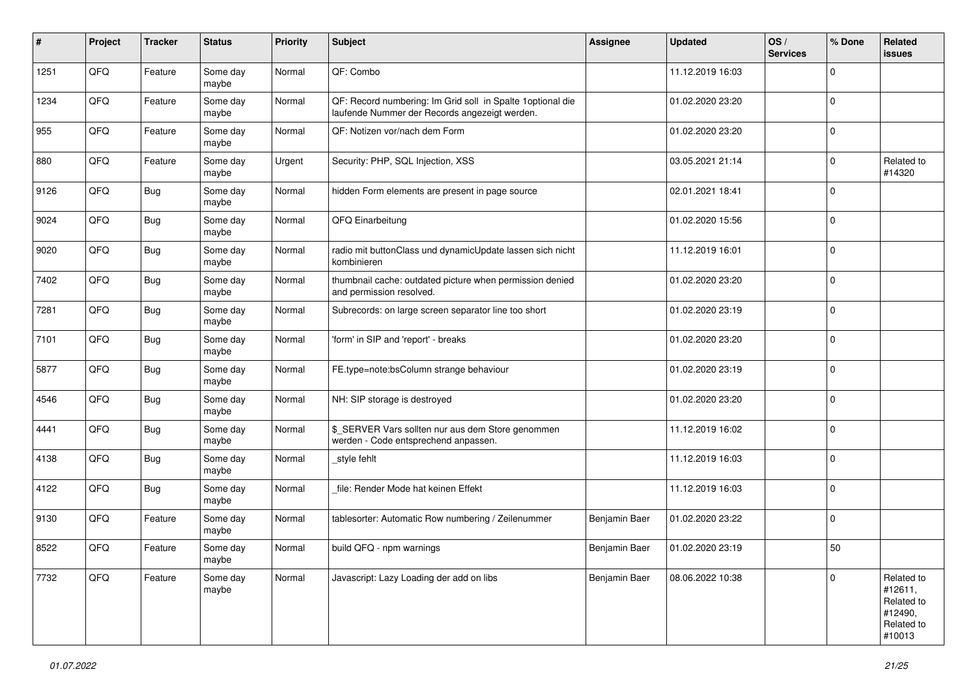| $\sharp$ | Project | <b>Tracker</b> | <b>Status</b>     | <b>Priority</b> | <b>Subject</b>                                                                                               | <b>Assignee</b> | <b>Updated</b>   | OS/<br><b>Services</b> | % Done      | Related<br><b>issues</b>                                               |
|----------|---------|----------------|-------------------|-----------------|--------------------------------------------------------------------------------------------------------------|-----------------|------------------|------------------------|-------------|------------------------------------------------------------------------|
| 1251     | QFQ     | Feature        | Some day<br>maybe | Normal          | QF: Combo                                                                                                    |                 | 11.12.2019 16:03 |                        | $\mathbf 0$ |                                                                        |
| 1234     | QFQ     | Feature        | Some day<br>maybe | Normal          | QF: Record numbering: Im Grid soll in Spalte 1 optional die<br>laufende Nummer der Records angezeigt werden. |                 | 01.02.2020 23:20 |                        | $\mathbf 0$ |                                                                        |
| 955      | QFQ     | Feature        | Some day<br>maybe | Normal          | QF: Notizen vor/nach dem Form                                                                                |                 | 01.02.2020 23:20 |                        | $\mathbf 0$ |                                                                        |
| 880      | QFQ     | Feature        | Some day<br>maybe | Urgent          | Security: PHP, SQL Injection, XSS                                                                            |                 | 03.05.2021 21:14 |                        | 0           | Related to<br>#14320                                                   |
| 9126     | QFQ     | Bug            | Some day<br>maybe | Normal          | hidden Form elements are present in page source                                                              |                 | 02.01.2021 18:41 |                        | $\mathbf 0$ |                                                                        |
| 9024     | QFQ     | <b>Bug</b>     | Some day<br>maybe | Normal          | QFQ Einarbeitung                                                                                             |                 | 01.02.2020 15:56 |                        | $\mathbf 0$ |                                                                        |
| 9020     | QFQ     | <b>Bug</b>     | Some day<br>maybe | Normal          | radio mit buttonClass und dynamicUpdate lassen sich nicht<br>kombinieren                                     |                 | 11.12.2019 16:01 |                        | $\mathbf 0$ |                                                                        |
| 7402     | QFQ     | <b>Bug</b>     | Some day<br>maybe | Normal          | thumbnail cache: outdated picture when permission denied<br>and permission resolved.                         |                 | 01.02.2020 23:20 |                        | $\mathbf 0$ |                                                                        |
| 7281     | QFQ     | Bug            | Some day<br>maybe | Normal          | Subrecords: on large screen separator line too short                                                         |                 | 01.02.2020 23:19 |                        | $\mathbf 0$ |                                                                        |
| 7101     | QFQ     | <b>Bug</b>     | Some day<br>maybe | Normal          | 'form' in SIP and 'report' - breaks                                                                          |                 | 01.02.2020 23:20 |                        | $\mathbf 0$ |                                                                        |
| 5877     | QFQ     | <b>Bug</b>     | Some day<br>maybe | Normal          | FE.type=note:bsColumn strange behaviour                                                                      |                 | 01.02.2020 23:19 |                        | $\mathbf 0$ |                                                                        |
| 4546     | QFQ     | Bug            | Some day<br>maybe | Normal          | NH: SIP storage is destroyed                                                                                 |                 | 01.02.2020 23:20 |                        | $\mathbf 0$ |                                                                        |
| 4441     | QFQ     | <b>Bug</b>     | Some day<br>maybe | Normal          | \$_SERVER Vars sollten nur aus dem Store genommen<br>werden - Code entsprechend anpassen.                    |                 | 11.12.2019 16:02 |                        | $\mathbf 0$ |                                                                        |
| 4138     | QFQ     | <b>Bug</b>     | Some day<br>maybe | Normal          | style fehlt                                                                                                  |                 | 11.12.2019 16:03 |                        | $\mathbf 0$ |                                                                        |
| 4122     | QFQ     | <b>Bug</b>     | Some day<br>maybe | Normal          | file: Render Mode hat keinen Effekt                                                                          |                 | 11.12.2019 16:03 |                        | $\mathbf 0$ |                                                                        |
| 9130     | QFQ     | Feature        | Some day<br>maybe | Normal          | tablesorter: Automatic Row numbering / Zeilenummer                                                           | Benjamin Baer   | 01.02.2020 23:22 |                        | $\mathbf 0$ |                                                                        |
| 8522     | QFQ     | Feature        | Some day<br>maybe | Normal          | build QFQ - npm warnings                                                                                     | Benjamin Baer   | 01.02.2020 23:19 |                        | 50          |                                                                        |
| 7732     | QFQ     | Feature        | Some day<br>maybe | Normal          | Javascript: Lazy Loading der add on libs                                                                     | Benjamin Baer   | 08.06.2022 10:38 |                        | 0           | Related to<br>#12611,<br>Related to<br>#12490,<br>Related to<br>#10013 |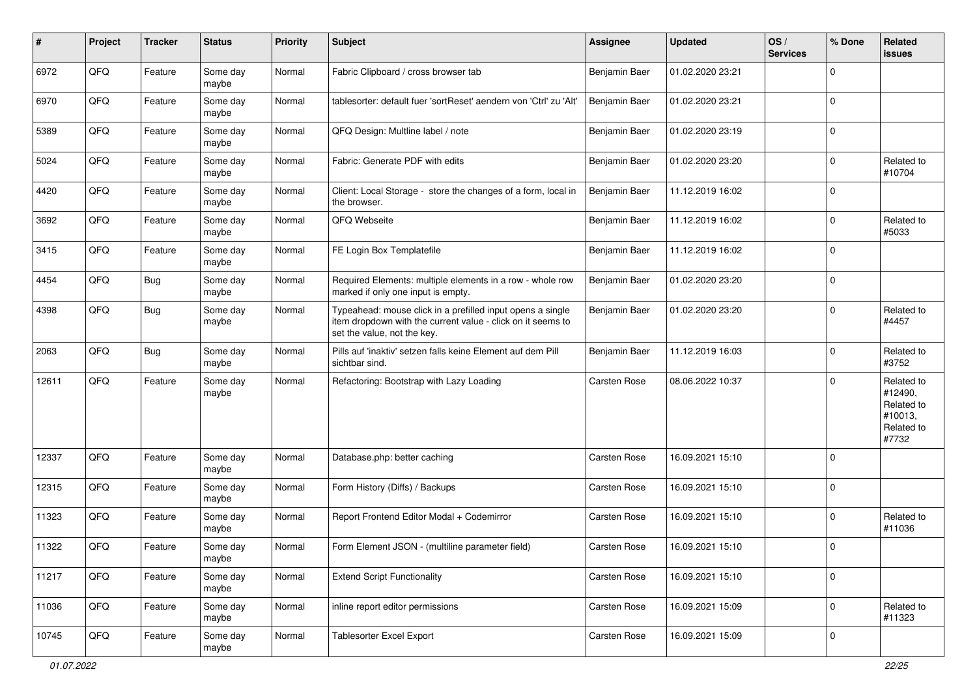| #     | Project | <b>Tracker</b> | <b>Status</b>     | <b>Priority</b> | <b>Subject</b>                                                                                                                                           | <b>Assignee</b> | <b>Updated</b>   | OS/<br><b>Services</b> | % Done      | Related<br><b>issues</b>                                              |
|-------|---------|----------------|-------------------|-----------------|----------------------------------------------------------------------------------------------------------------------------------------------------------|-----------------|------------------|------------------------|-------------|-----------------------------------------------------------------------|
| 6972  | QFQ     | Feature        | Some day<br>maybe | Normal          | Fabric Clipboard / cross browser tab                                                                                                                     | Benjamin Baer   | 01.02.2020 23:21 |                        | $\mathbf 0$ |                                                                       |
| 6970  | QFQ     | Feature        | Some day<br>maybe | Normal          | tablesorter: default fuer 'sortReset' aendern von 'Ctrl' zu 'Alt'                                                                                        | Benjamin Baer   | 01.02.2020 23:21 |                        | $\mathbf 0$ |                                                                       |
| 5389  | QFQ     | Feature        | Some day<br>maybe | Normal          | QFQ Design: Multline label / note                                                                                                                        | Benjamin Baer   | 01.02.2020 23:19 |                        | $\mathbf 0$ |                                                                       |
| 5024  | QFQ     | Feature        | Some day<br>maybe | Normal          | Fabric: Generate PDF with edits                                                                                                                          | Benjamin Baer   | 01.02.2020 23:20 |                        | $\mathbf 0$ | Related to<br>#10704                                                  |
| 4420  | QFQ     | Feature        | Some day<br>maybe | Normal          | Client: Local Storage - store the changes of a form, local in<br>the browser.                                                                            | Benjamin Baer   | 11.12.2019 16:02 |                        | $\mathbf 0$ |                                                                       |
| 3692  | QFQ     | Feature        | Some day<br>maybe | Normal          | QFQ Webseite                                                                                                                                             | Benjamin Baer   | 11.12.2019 16:02 |                        | $\mathbf 0$ | Related to<br>#5033                                                   |
| 3415  | QFQ     | Feature        | Some day<br>maybe | Normal          | FE Login Box Templatefile                                                                                                                                | Benjamin Baer   | 11.12.2019 16:02 |                        | $\mathbf 0$ |                                                                       |
| 4454  | QFQ     | Bug            | Some day<br>maybe | Normal          | Required Elements: multiple elements in a row - whole row<br>marked if only one input is empty.                                                          | Benjamin Baer   | 01.02.2020 23:20 |                        | $\mathbf 0$ |                                                                       |
| 4398  | QFQ     | Bug            | Some day<br>maybe | Normal          | Typeahead: mouse click in a prefilled input opens a single<br>item dropdown with the current value - click on it seems to<br>set the value, not the key. | Benjamin Baer   | 01.02.2020 23:20 |                        | $\mathbf 0$ | Related to<br>#4457                                                   |
| 2063  | QFQ     | Bug            | Some day<br>maybe | Normal          | Pills auf 'inaktiv' setzen falls keine Element auf dem Pill<br>sichtbar sind.                                                                            | Benjamin Baer   | 11.12.2019 16:03 |                        | $\mathbf 0$ | Related to<br>#3752                                                   |
| 12611 | QFQ     | Feature        | Some day<br>maybe | Normal          | Refactoring: Bootstrap with Lazy Loading                                                                                                                 | Carsten Rose    | 08.06.2022 10:37 |                        | $\mathbf 0$ | Related to<br>#12490,<br>Related to<br>#10013,<br>Related to<br>#7732 |
| 12337 | QFQ     | Feature        | Some day<br>maybe | Normal          | Database.php: better caching                                                                                                                             | Carsten Rose    | 16.09.2021 15:10 |                        | $\Omega$    |                                                                       |
| 12315 | QFQ     | Feature        | Some day<br>maybe | Normal          | Form History (Diffs) / Backups                                                                                                                           | Carsten Rose    | 16.09.2021 15:10 |                        | $\mathbf 0$ |                                                                       |
| 11323 | QFQ     | Feature        | Some day<br>maybe | Normal          | Report Frontend Editor Modal + Codemirror                                                                                                                | Carsten Rose    | 16.09.2021 15:10 |                        | $\mathbf 0$ | Related to<br>#11036                                                  |
| 11322 | QFQ     | Feature        | Some day<br>maybe | Normal          | Form Element JSON - (multiline parameter field)                                                                                                          | Carsten Rose    | 16.09.2021 15:10 |                        | $\mathbf 0$ |                                                                       |
| 11217 | QFQ     | Feature        | Some day<br>maybe | Normal          | <b>Extend Script Functionality</b>                                                                                                                       | Carsten Rose    | 16.09.2021 15:10 |                        | 0           |                                                                       |
| 11036 | QFQ     | Feature        | Some day<br>maybe | Normal          | inline report editor permissions                                                                                                                         | Carsten Rose    | 16.09.2021 15:09 |                        | 0           | Related to<br>#11323                                                  |
| 10745 | QFQ     | Feature        | Some day<br>maybe | Normal          | <b>Tablesorter Excel Export</b>                                                                                                                          | Carsten Rose    | 16.09.2021 15:09 |                        | 0           |                                                                       |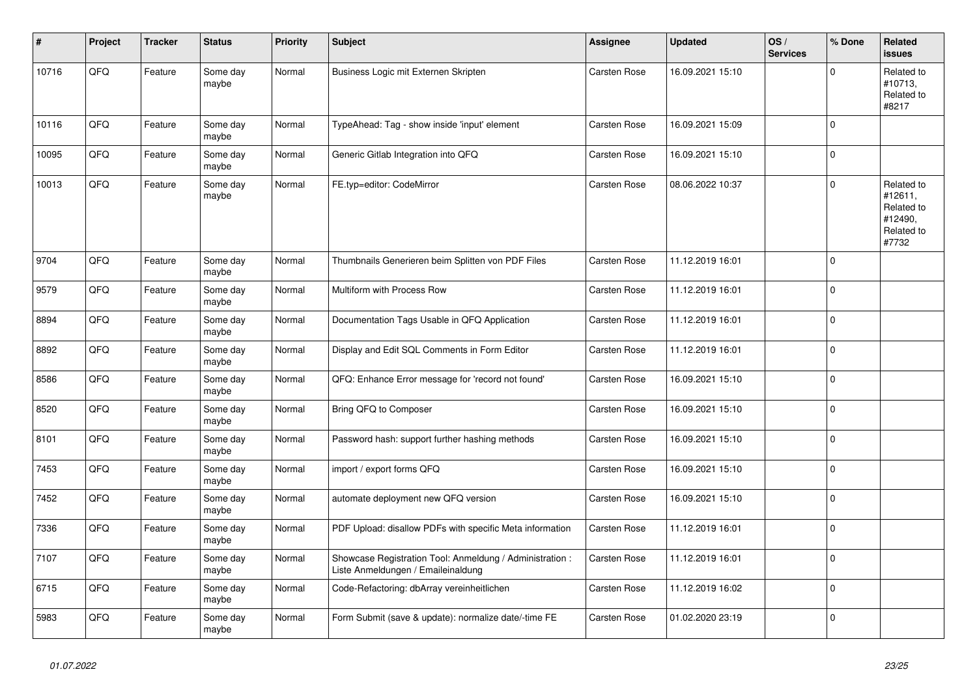| ∦     | Project | <b>Tracker</b> | <b>Status</b>     | <b>Priority</b> | <b>Subject</b>                                                                                 | Assignee            | <b>Updated</b>   | OS/<br><b>Services</b> | % Done      | Related<br><b>issues</b>                                              |
|-------|---------|----------------|-------------------|-----------------|------------------------------------------------------------------------------------------------|---------------------|------------------|------------------------|-------------|-----------------------------------------------------------------------|
| 10716 | QFQ     | Feature        | Some day<br>maybe | Normal          | Business Logic mit Externen Skripten                                                           | Carsten Rose        | 16.09.2021 15:10 |                        | $\Omega$    | Related to<br>#10713,<br>Related to<br>#8217                          |
| 10116 | QFQ     | Feature        | Some day<br>maybe | Normal          | TypeAhead: Tag - show inside 'input' element                                                   | Carsten Rose        | 16.09.2021 15:09 |                        | $\mathbf 0$ |                                                                       |
| 10095 | QFQ     | Feature        | Some day<br>maybe | Normal          | Generic Gitlab Integration into QFQ                                                            | Carsten Rose        | 16.09.2021 15:10 |                        | $\Omega$    |                                                                       |
| 10013 | QFQ     | Feature        | Some day<br>maybe | Normal          | FE.typ=editor: CodeMirror                                                                      | Carsten Rose        | 08.06.2022 10:37 |                        | $\mathbf 0$ | Related to<br>#12611,<br>Related to<br>#12490,<br>Related to<br>#7732 |
| 9704  | QFQ     | Feature        | Some day<br>maybe | Normal          | Thumbnails Generieren beim Splitten von PDF Files                                              | Carsten Rose        | 11.12.2019 16:01 |                        | $\Omega$    |                                                                       |
| 9579  | QFQ     | Feature        | Some day<br>maybe | Normal          | Multiform with Process Row                                                                     | Carsten Rose        | 11.12.2019 16:01 |                        | $\Omega$    |                                                                       |
| 8894  | QFQ     | Feature        | Some day<br>maybe | Normal          | Documentation Tags Usable in QFQ Application                                                   | Carsten Rose        | 11.12.2019 16:01 |                        | $\mathbf 0$ |                                                                       |
| 8892  | QFQ     | Feature        | Some day<br>maybe | Normal          | Display and Edit SQL Comments in Form Editor                                                   | Carsten Rose        | 11.12.2019 16:01 |                        | $\Omega$    |                                                                       |
| 8586  | QFQ     | Feature        | Some day<br>maybe | Normal          | QFQ: Enhance Error message for 'record not found'                                              | Carsten Rose        | 16.09.2021 15:10 |                        | $\Omega$    |                                                                       |
| 8520  | QFQ     | Feature        | Some day<br>maybe | Normal          | Bring QFQ to Composer                                                                          | <b>Carsten Rose</b> | 16.09.2021 15:10 |                        | $\Omega$    |                                                                       |
| 8101  | QFQ     | Feature        | Some day<br>maybe | Normal          | Password hash: support further hashing methods                                                 | Carsten Rose        | 16.09.2021 15:10 |                        | $\mathbf 0$ |                                                                       |
| 7453  | QFQ     | Feature        | Some day<br>maybe | Normal          | import / export forms QFQ                                                                      | Carsten Rose        | 16.09.2021 15:10 |                        | 0           |                                                                       |
| 7452  | QFQ     | Feature        | Some day<br>maybe | Normal          | automate deployment new QFQ version                                                            | Carsten Rose        | 16.09.2021 15:10 |                        | $\Omega$    |                                                                       |
| 7336  | QFQ     | Feature        | Some day<br>maybe | Normal          | PDF Upload: disallow PDFs with specific Meta information                                       | Carsten Rose        | 11.12.2019 16:01 |                        | 0           |                                                                       |
| 7107  | QFQ     | Feature        | Some day<br>maybe | Normal          | Showcase Registration Tool: Anmeldung / Administration :<br>Liste Anmeldungen / Emaileinaldung | Carsten Rose        | 11.12.2019 16:01 |                        | $\Omega$    |                                                                       |
| 6715  | QFQ     | Feature        | Some day<br>maybe | Normal          | Code-Refactoring: dbArray vereinheitlichen                                                     | Carsten Rose        | 11.12.2019 16:02 |                        | $\mathbf 0$ |                                                                       |
| 5983  | QFQ     | Feature        | Some day<br>maybe | Normal          | Form Submit (save & update): normalize date/-time FE                                           | Carsten Rose        | 01.02.2020 23:19 |                        | 0           |                                                                       |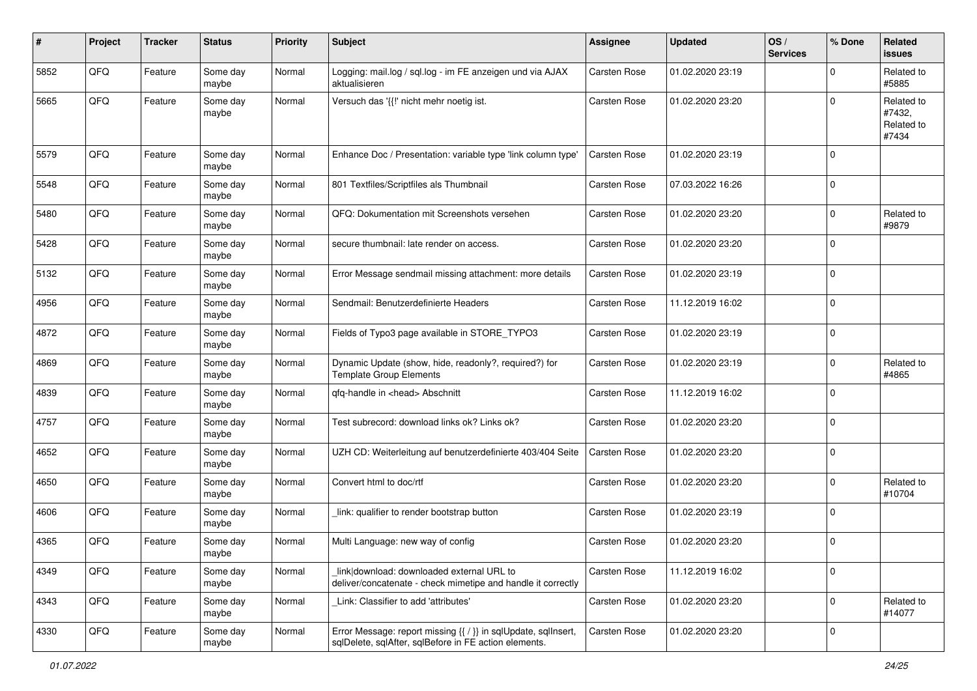| #    | Project | <b>Tracker</b> | <b>Status</b>     | <b>Priority</b> | Subject                                                                                                                 | Assignee     | <b>Updated</b>   | OS/<br><b>Services</b> | % Done              | Related<br>issues                           |
|------|---------|----------------|-------------------|-----------------|-------------------------------------------------------------------------------------------------------------------------|--------------|------------------|------------------------|---------------------|---------------------------------------------|
| 5852 | QFQ     | Feature        | Some day<br>maybe | Normal          | Logging: mail.log / sql.log - im FE anzeigen und via AJAX<br>aktualisieren                                              | Carsten Rose | 01.02.2020 23:19 |                        | $\mathbf 0$         | Related to<br>#5885                         |
| 5665 | QFQ     | Feature        | Some day<br>maybe | Normal          | Versuch das '{{!' nicht mehr noetig ist.                                                                                | Carsten Rose | 01.02.2020 23:20 |                        | $\Omega$            | Related to<br>#7432,<br>Related to<br>#7434 |
| 5579 | QFQ     | Feature        | Some day<br>maybe | Normal          | Enhance Doc / Presentation: variable type 'link column type'                                                            | Carsten Rose | 01.02.2020 23:19 |                        | $\mathbf 0$         |                                             |
| 5548 | QFQ     | Feature        | Some day<br>maybe | Normal          | 801 Textfiles/Scriptfiles als Thumbnail                                                                                 | Carsten Rose | 07.03.2022 16:26 |                        | $\mathbf 0$         |                                             |
| 5480 | QFQ     | Feature        | Some day<br>maybe | Normal          | QFQ: Dokumentation mit Screenshots versehen                                                                             | Carsten Rose | 01.02.2020 23:20 |                        | $\mathbf 0$         | Related to<br>#9879                         |
| 5428 | QFQ     | Feature        | Some day<br>maybe | Normal          | secure thumbnail: late render on access.                                                                                | Carsten Rose | 01.02.2020 23:20 |                        | $\Omega$            |                                             |
| 5132 | QFQ     | Feature        | Some day<br>maybe | Normal          | Error Message sendmail missing attachment: more details                                                                 | Carsten Rose | 01.02.2020 23:19 |                        | $\Omega$            |                                             |
| 4956 | QFQ     | Feature        | Some day<br>maybe | Normal          | Sendmail: Benutzerdefinierte Headers                                                                                    | Carsten Rose | 11.12.2019 16:02 |                        | $\Omega$            |                                             |
| 4872 | QFQ     | Feature        | Some day<br>maybe | Normal          | Fields of Typo3 page available in STORE_TYPO3                                                                           | Carsten Rose | 01.02.2020 23:19 |                        | $\mathbf 0$         |                                             |
| 4869 | QFQ     | Feature        | Some day<br>maybe | Normal          | Dynamic Update (show, hide, readonly?, required?) for<br><b>Template Group Elements</b>                                 | Carsten Rose | 01.02.2020 23:19 |                        | $\mathbf 0$         | Related to<br>#4865                         |
| 4839 | QFQ     | Feature        | Some day<br>maybe | Normal          | qfq-handle in <head> Abschnitt</head>                                                                                   | Carsten Rose | 11.12.2019 16:02 |                        | $\mathbf 0$         |                                             |
| 4757 | QFQ     | Feature        | Some day<br>maybe | Normal          | Test subrecord: download links ok? Links ok?                                                                            | Carsten Rose | 01.02.2020 23:20 |                        | $\mathbf 0$         |                                             |
| 4652 | QFQ     | Feature        | Some day<br>maybe | Normal          | UZH CD: Weiterleitung auf benutzerdefinierte 403/404 Seite                                                              | Carsten Rose | 01.02.2020 23:20 |                        | $\Omega$            |                                             |
| 4650 | QFQ     | Feature        | Some day<br>maybe | Normal          | Convert html to doc/rtf                                                                                                 | Carsten Rose | 01.02.2020 23:20 |                        | 0                   | Related to<br>#10704                        |
| 4606 | QFQ     | Feature        | Some day<br>maybe | Normal          | link: qualifier to render bootstrap button                                                                              | Carsten Rose | 01.02.2020 23:19 |                        | $\Omega$            |                                             |
| 4365 | QFQ     | Feature        | Some day<br>maybe | Normal          | Multi Language: new way of config                                                                                       | Carsten Rose | 01.02.2020 23:20 |                        | $\mathbf 0$         |                                             |
| 4349 | QFQ     | Feature        | Some day<br>maybe | Normal          | link download: downloaded external URL to<br>deliver/concatenate - check mimetipe and handle it correctly               | Carsten Rose | 11.12.2019 16:02 |                        | $\mathbf 0$         |                                             |
| 4343 | QFQ     | Feature        | Some day<br>maybe | Normal          | Link: Classifier to add 'attributes'                                                                                    | Carsten Rose | 01.02.2020 23:20 |                        | $\mathsf{O}\xspace$ | Related to<br>#14077                        |
| 4330 | QFQ     | Feature        | Some day<br>maybe | Normal          | Error Message: report missing {{ / }} in sqlUpdate, sqlInsert,<br>sqlDelete, sqlAfter, sqlBefore in FE action elements. | Carsten Rose | 01.02.2020 23:20 |                        | $\pmb{0}$           |                                             |